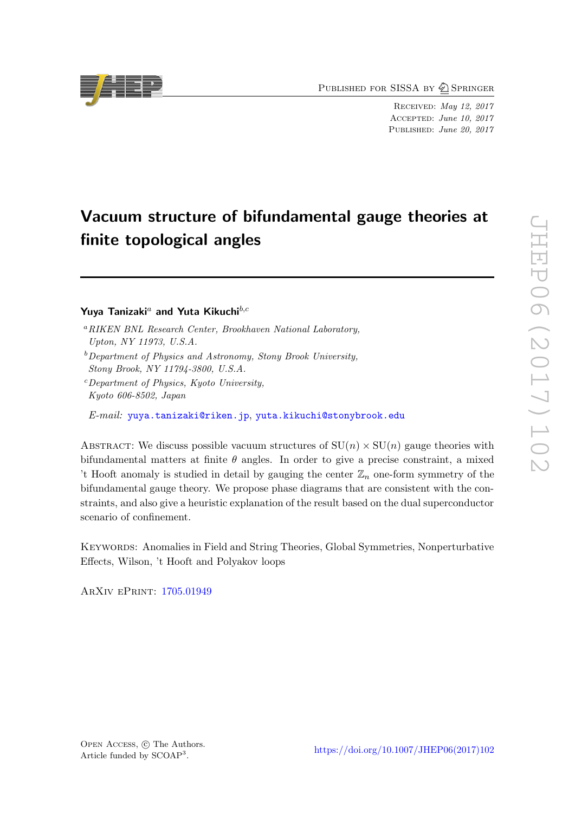PUBLISHED FOR SISSA BY 2 SPRINGER

Received: May 12, 2017 Accepted: June 10, 2017 PUBLISHED: June 20, 2017

# Vacuum structure of bifundamental gauge theories at finite topological angles

# Yuya Tanizaki<sup>a</sup> and Yuta Kikuchi $b,c$

E-mail: [yuya.tanizaki@riken.jp](mailto:yuya.tanizaki@riken.jp), [yuta.kikuchi@stonybrook.edu](mailto:yuta.kikuchi@stonybrook.edu)

ABSTRACT: We discuss possible vacuum structures of  $SU(n) \times SU(n)$  gauge theories with bifundamental matters at finite  $\theta$  angles. In order to give a precise constraint, a mixed 't Hooft anomaly is studied in detail by gauging the center  $\mathbb{Z}_n$  one-form symmetry of the bifundamental gauge theory. We propose phase diagrams that are consistent with the constraints, and also give a heuristic explanation of the result based on the dual superconductor scenario of confinement.

KEYWORDS: Anomalies in Field and String Theories, Global Symmetries, Nonperturbative Effects, Wilson, 't Hooft and Polyakov loops

ArXiv ePrint: [1705.01949](https://arxiv.org/abs/1705.01949)



 $^a$ RIKEN BNL Research Center, Brookhaven National Laboratory, Upton, NY 11973, U.S.A.

 $b$ Department of Physics and Astronomy, Stony Brook University, Stony Brook, NY 11794-3800, U.S.A.

 $c$  Department of Physics, Kyoto University, Kyoto 606-8502, Japan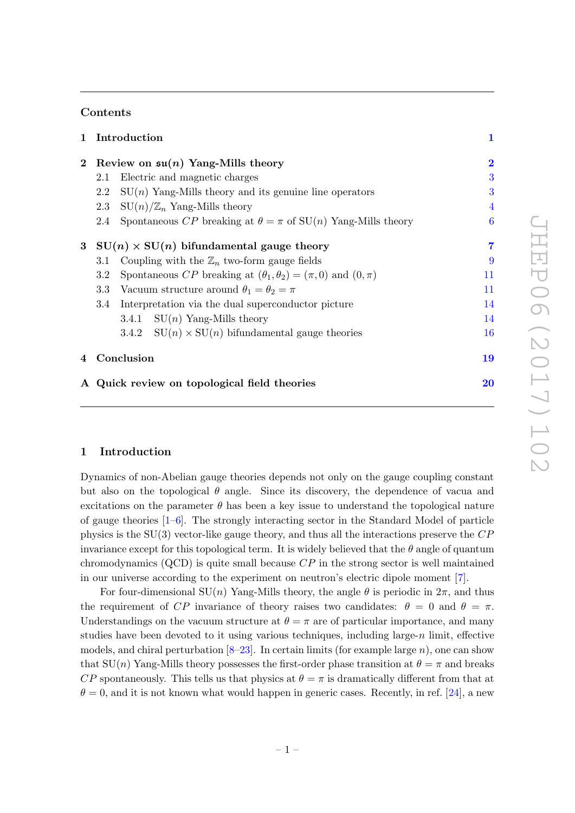## Contents

| $\mathbf{1}$ |                                                                                    | Introduction                                                         |                  |
|--------------|------------------------------------------------------------------------------------|----------------------------------------------------------------------|------------------|
| $\mathbf{2}$ | Review on $\mathfrak{su}(n)$ Yang-Mills theory                                     |                                                                      | $\overline{2}$   |
|              | 2.1                                                                                | Electric and magnetic charges                                        | 3                |
|              | 2.2                                                                                | $SU(n)$ Yang-Mills theory and its genuine line operators             | 3                |
|              | 2.3                                                                                | $SU(n)/\mathbb{Z}_n$ Yang-Mills theory                               | $\overline{4}$   |
|              | 2.4                                                                                | Spontaneous CP breaking at $\theta = \pi$ of SU(n) Yang-Mills theory | $\boldsymbol{6}$ |
| $\bf{3}$     | $SU(n) \times SU(n)$ bifundamental gauge theory                                    |                                                                      |                  |
|              | 3.1                                                                                | Coupling with the $\mathbb{Z}_n$ two-form gauge fields               | 9                |
|              | Spontaneous CP breaking at $(\theta_1, \theta_2) = (\pi, 0)$ and $(0, \pi)$<br>3.2 |                                                                      | 11               |
|              | Vacuum structure around $\theta_1 = \theta_2 = \pi$<br>$3.3\,$                     |                                                                      | 11               |
|              | 3.4                                                                                | Interpretation via the dual superconductor picture                   | 14               |
|              |                                                                                    | 3.4.1 $SU(n)$ Yang-Mills theory                                      | 14               |
|              |                                                                                    | 3.4.2 $SU(n) \times SU(n)$ bifundamental gauge theories              | 16               |
| 4            | Conclusion                                                                         |                                                                      | 19               |
|              |                                                                                    | A Quick review on topological field theories                         | 20               |

## <span id="page-1-0"></span>1 Introduction

Dynamics of non-Abelian gauge theories depends not only on the gauge coupling constant but also on the topological  $\theta$  angle. Since its discovery, the dependence of vacua and excitations on the parameter  $\theta$  has been a key issue to understand the topological nature of gauge theories [\[1](#page-21-0)[–6\]](#page-21-1). The strongly interacting sector in the Standard Model of particle physics is the  $SU(3)$  vector-like gauge theory, and thus all the interactions preserve the  $CP$ invariance except for this topological term. It is widely believed that the  $\theta$  angle of quantum chromodynamics  $(QCD)$  is quite small because  $CP$  in the strong sector is well maintained in our universe according to the experiment on neutron's electric dipole moment [\[7\]](#page-22-0).

For four-dimensional  $SU(n)$  Yang-Mills theory, the angle  $\theta$  is periodic in  $2\pi$ , and thus the requirement of CP invariance of theory raises two candidates:  $\theta = 0$  and  $\theta = \pi$ . Understandings on the vacuum structure at  $\theta = \pi$  are of particular importance, and many studies have been devoted to it using various techniques, including large- $n$  limit, effective models, and chiral perturbation  $[8-23]$  $[8-23]$ . In certain limits (for example large n), one can show that  $SU(n)$  Yang-Mills theory possesses the first-order phase transition at  $\theta = \pi$  and breaks CP spontaneously. This tells us that physics at  $\theta = \pi$  is dramatically different from that at  $\theta = 0$ , and it is not known what would happen in generic cases. Recently, in ref. [\[24\]](#page-22-3), a new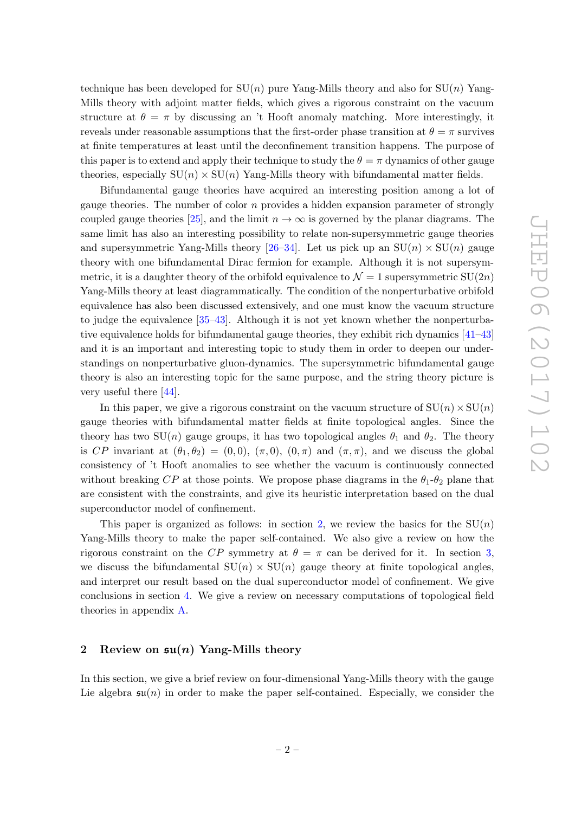technique has been developed for  $SU(n)$  pure Yang-Mills theory and also for  $SU(n)$  Yang-Mills theory with adjoint matter fields, which gives a rigorous constraint on the vacuum structure at  $\theta = \pi$  by discussing an 't Hooft anomaly matching. More interestingly, it reveals under reasonable assumptions that the first-order phase transition at  $\theta = \pi$  survives at finite temperatures at least until the deconfinement transition happens. The purpose of this paper is to extend and apply their technique to study the  $\theta = \pi$  dynamics of other gauge theories, especially  $SU(n) \times SU(n)$  Yang-Mills theory with bifundamental matter fields.

Bifundamental gauge theories have acquired an interesting position among a lot of gauge theories. The number of color  $n$  provides a hidden expansion parameter of strongly coupled gauge theories [\[25\]](#page-22-4), and the limit  $n \to \infty$  is governed by the planar diagrams. The same limit has also an interesting possibility to relate non-supersymmetric gauge theories and supersymmetric Yang-Mills theory [\[26](#page-22-5)[–34\]](#page-23-0). Let us pick up an  $SU(n) \times SU(n)$  gauge theory with one bifundamental Dirac fermion for example. Although it is not supersymmetric, it is a daughter theory of the orbifold equivalence to  $\mathcal{N} = 1$  supersymmetric  $SU(2n)$ Yang-Mills theory at least diagrammatically. The condition of the nonperturbative orbifold equivalence has also been discussed extensively, and one must know the vacuum structure to judge the equivalence [\[35–](#page-23-1)[43\]](#page-23-2). Although it is not yet known whether the nonperturbative equivalence holds for bifundamental gauge theories, they exhibit rich dynamics [\[41–](#page-23-3)[43\]](#page-23-2) and it is an important and interesting topic to study them in order to deepen our understandings on nonperturbative gluon-dynamics. The supersymmetric bifundamental gauge theory is also an interesting topic for the same purpose, and the string theory picture is very useful there [\[44\]](#page-23-4).

In this paper, we give a rigorous constraint on the vacuum structure of  $SU(n) \times SU(n)$ gauge theories with bifundamental matter fields at finite topological angles. Since the theory has two SU(n) gauge groups, it has two topological angles  $\theta_1$  and  $\theta_2$ . The theory is CP invariant at  $(\theta_1, \theta_2) = (0, 0), (\pi, 0), (0, \pi)$  and  $(\pi, \pi)$ , and we discuss the global consistency of 't Hooft anomalies to see whether the vacuum is continuously connected without breaking CP at those points. We propose phase diagrams in the  $\theta_1$ - $\theta_2$  plane that are consistent with the constraints, and give its heuristic interpretation based on the dual superconductor model of confinement.

This paper is organized as follows: in section [2,](#page-2-0) we review the basics for the  $SU(n)$ Yang-Mills theory to make the paper self-contained. We also give a review on how the rigorous constraint on the CP symmetry at  $\theta = \pi$  can be derived for it. In section [3,](#page-7-0) we discuss the bifundamental  $SU(n) \times SU(n)$  gauge theory at finite topological angles, and interpret our result based on the dual superconductor model of confinement. We give conclusions in section [4.](#page-19-0) We give a review on necessary computations of topological field theories in appendix [A.](#page-20-0)

## <span id="page-2-0"></span>2 Review on  $\mathfrak{su}(n)$  Yang-Mills theory

In this section, we give a brief review on four-dimensional Yang-Mills theory with the gauge Lie algebra  $\mathfrak{su}(n)$  in order to make the paper self-contained. Especially, we consider the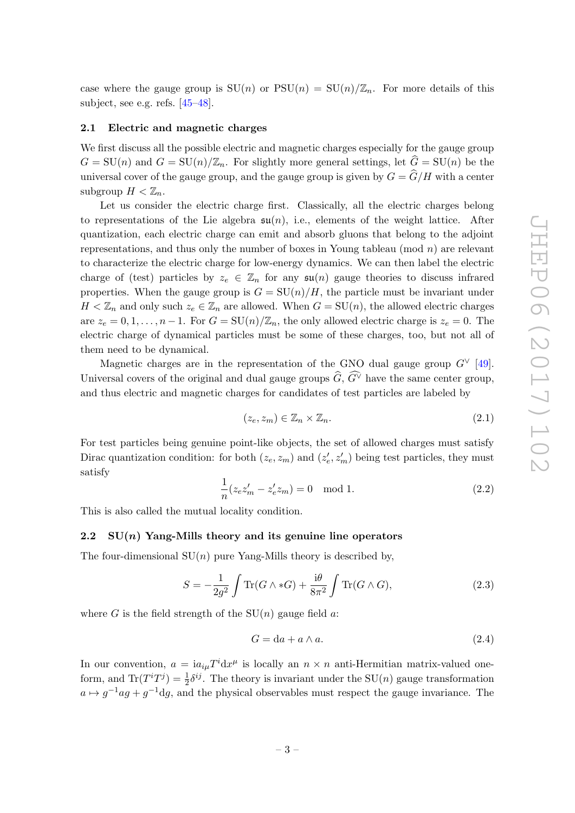case where the gauge group is  $SU(n)$  or  $PSU(n) = SU(n)/\mathbb{Z}_n$ . For more details of this subject, see e.g. refs. [\[45](#page-23-5)[–48\]](#page-24-0).

#### <span id="page-3-0"></span>2.1 Electric and magnetic charges

We first discuss all the possible electric and magnetic charges especially for the gauge group  $G = SU(n)$  and  $G = SU(n)/\mathbb{Z}_n$ . For slightly more general settings, let  $\hat{G} = SU(n)$  be the universal cover of the gauge group, and the gauge group is given by  $G = \widehat{G}/H$  with a center subgroup  $H < \mathbb{Z}_n$ .

Let us consider the electric charge first. Classically, all the electric charges belong to representations of the Lie algebra  $\mathfrak{su}(n)$ , i.e., elements of the weight lattice. After quantization, each electric charge can emit and absorb gluons that belong to the adjoint representations, and thus only the number of boxes in Young tableau (mod  $n$ ) are relevant to characterize the electric charge for low-energy dynamics. We can then label the electric charge of (test) particles by  $z_e \in \mathbb{Z}_n$  for any  $\mathfrak{su}(n)$  gauge theories to discuss infrared properties. When the gauge group is  $G = SU(n)/H$ , the particle must be invariant under  $H < \mathbb{Z}_n$  and only such  $z_e \in \mathbb{Z}_n$  are allowed. When  $G = SU(n)$ , the allowed electric charges are  $z_e = 0, 1, \ldots, n-1$ . For  $G = SU(n)/\mathbb{Z}_n$ , the only allowed electric charge is  $z_e = 0$ . The electric charge of dynamical particles must be some of these charges, too, but not all of them need to be dynamical.

Magnetic charges are in the representation of the GNO dual gauge group  $G^{\vee}$  [\[49\]](#page-24-1). Universal covers of the original and dual gauge groups  $\widehat{G}$ ,  $\widehat{G}^{\vee}$  have the same center group, and thus electric and magnetic charges for candidates of test particles are labeled by

$$
(z_e, z_m) \in \mathbb{Z}_n \times \mathbb{Z}_n. \tag{2.1}
$$

For test particles being genuine point-like objects, the set of allowed charges must satisfy Dirac quantization condition: for both  $(z_e, z_m)$  and  $(z'_e, z'_m)$  being test particles, they must satisfy

$$
\frac{1}{n}(z_e z'_m - z'_e z_m) = 0 \mod 1.
$$
\n(2.2)

This is also called the mutual locality condition.

#### <span id="page-3-1"></span>2.2  $SU(n)$  Yang-Mills theory and its genuine line operators

The four-dimensional  $SU(n)$  pure Yang-Mills theory is described by,

<span id="page-3-2"></span>
$$
S = -\frac{1}{2g^2} \int \text{Tr}(G \wedge *G) + \frac{i\theta}{8\pi^2} \int \text{Tr}(G \wedge G), \tag{2.3}
$$

where G is the field strength of the  $SU(n)$  gauge field a:

$$
G = da + a \wedge a. \tag{2.4}
$$

In our convention,  $a = i a_{i\mu} T^i dx^{\mu}$  is locally an  $n \times n$  anti-Hermitian matrix-valued oneform, and  $\text{Tr}(T^i T^j) = \frac{1}{2} \delta^{ij}$ . The theory is invariant under the SU(*n*) gauge transformation  $a \mapsto g^{-1}ag + g^{-1}dg$ , and the physical observables must respect the gauge invariance. The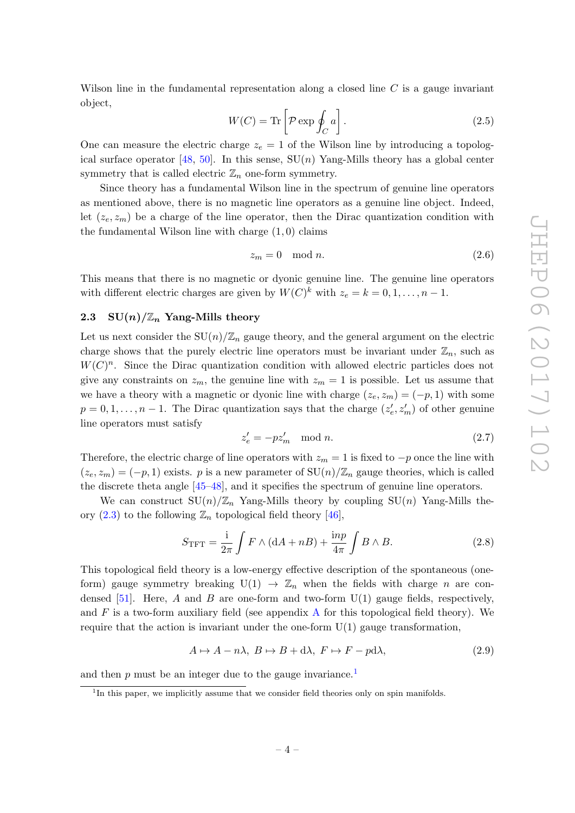Wilson line in the fundamental representation along a closed line  $C$  is a gauge invariant object,

<span id="page-4-3"></span>
$$
W(C) = \text{Tr}\left[\mathcal{P}\exp\oint_C a\right].\tag{2.5}
$$

One can measure the electric charge  $z_e = 1$  of the Wilson line by introducing a topolog-ical surface operator [\[48,](#page-24-0) [50\]](#page-24-2). In this sense,  $SU(n)$  Yang-Mills theory has a global center symmetry that is called electric  $\mathbb{Z}_n$  one-form symmetry.

Since theory has a fundamental Wilson line in the spectrum of genuine line operators as mentioned above, there is no magnetic line operators as a genuine line object. Indeed, let  $(z_e, z_m)$  be a charge of the line operator, then the Dirac quantization condition with the fundamental Wilson line with charge  $(1,0)$  claims

$$
z_m = 0 \mod n. \tag{2.6}
$$

This means that there is no magnetic or dyonic genuine line. The genuine line operators with different electric charges are given by  $W(C)^k$  with  $z_e = k = 0, 1, \ldots, n - 1$ .

## <span id="page-4-0"></span>2.3 SU $(n)/\mathbb{Z}_n$  Yang-Mills theory

Let us next consider the  $SU(n)/\mathbb{Z}_n$  gauge theory, and the general argument on the electric charge shows that the purely electric line operators must be invariant under  $\mathbb{Z}_n$ , such as  $W(C)^n$ . Since the Dirac quantization condition with allowed electric particles does not give any constraints on  $z_m$ , the genuine line with  $z_m = 1$  is possible. Let us assume that we have a theory with a magnetic or dyonic line with charge  $(z_e, z_m) = (-p, 1)$  with some  $p = 0, 1, \ldots, n - 1$ . The Dirac quantization says that the charge  $(z'_e, z'_m)$  of other genuine line operators must satisfy

$$
z_e' = -pz_m' \mod n. \tag{2.7}
$$

Therefore, the electric charge of line operators with  $z_m = 1$  is fixed to  $-p$  once the line with  $(z_e, z_m) = (-p, 1)$  exists. p is a new parameter of  $SU(n)/\mathbb{Z}_n$  gauge theories, which is called the discrete theta angle [\[45–](#page-23-5)[48\]](#page-24-0), and it specifies the spectrum of genuine line operators.

We can construct  $SU(n)/\mathbb{Z}_n$  Yang-Mills theory by coupling  $SU(n)$  Yang-Mills theory  $(2.3)$  to the following  $\mathbb{Z}_n$  topological field theory [\[46\]](#page-23-6),

<span id="page-4-2"></span>
$$
S_{\text{TFT}} = \frac{\mathrm{i}}{2\pi} \int F \wedge (\mathrm{d}A + n) + \frac{\mathrm{in}p}{4\pi} \int B \wedge B. \tag{2.8}
$$

This topological field theory is a low-energy effective description of the spontaneous (oneform) gauge symmetry breaking  $U(1) \rightarrow \mathbb{Z}_n$  when the fields with charge n are con-densed [\[51\]](#page-24-3). Here, A and B are one-form and two-form  $U(1)$  gauge fields, respectively, and  $F$  is a two-form auxiliary field (see appendix [A](#page-20-0) for this topological field theory). We require that the action is invariant under the one-form  $U(1)$  gauge transformation,

 $A \mapsto A - n\lambda, B \mapsto B + d\lambda, F \mapsto F - p d\lambda,$  (2.9)

and then  $p$  must be an integer due to the gauge invariance.<sup>[1](#page-4-1)</sup>

<span id="page-4-1"></span><sup>&</sup>lt;sup>1</sup>In this paper, we implicitly assume that we consider field theories only on spin manifolds.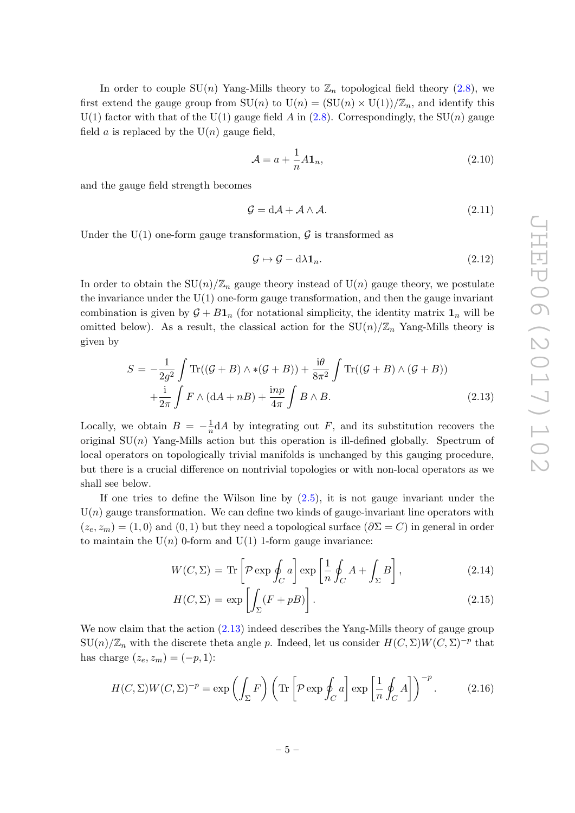In order to couple  $SU(n)$  Yang-Mills theory to  $\mathbb{Z}_n$  topological field theory [\(2.8\)](#page-4-2), we first extend the gauge group from  $SU(n)$  to  $U(n) = (SU(n) \times U(1))/\mathbb{Z}_n$ , and identify this U(1) factor with that of the U(1) gauge field A in [\(2.8\)](#page-4-2). Correspondingly, the SU(n) gauge field *a* is replaced by the  $U(n)$  gauge field,

$$
\mathcal{A} = a + \frac{1}{n} A \mathbf{1}_n,\tag{2.10}
$$

and the gauge field strength becomes

$$
\mathcal{G} = d\mathcal{A} + \mathcal{A} \wedge \mathcal{A}.\tag{2.11}
$$

Under the U(1) one-form gauge transformation,  $\mathcal G$  is transformed as

$$
\mathcal{G} \mapsto \mathcal{G} - d\lambda \mathbf{1}_n. \tag{2.12}
$$

In order to obtain the  $SU(n)/\mathbb{Z}_n$  gauge theory instead of  $U(n)$  gauge theory, we postulate the invariance under the  $U(1)$  one-form gauge transformation, and then the gauge invariant combination is given by  $\mathcal{G} + B\mathbf{1}_n$  (for notational simplicity, the identity matrix  $\mathbf{1}_n$  will be omitted below). As a result, the classical action for the  $SU(n)/\mathbb{Z}_n$  Yang-Mills theory is given by

<span id="page-5-0"></span>
$$
S = -\frac{1}{2g^2} \int \text{Tr}((\mathcal{G} + B) \wedge *(\mathcal{G} + B)) + \frac{i\theta}{8\pi^2} \int \text{Tr}((\mathcal{G} + B) \wedge (\mathcal{G} + B))
$$

$$
+ \frac{i}{2\pi} \int F \wedge (dA + nB) + \frac{inp}{4\pi} \int B \wedge B.
$$
(2.13)

Locally, we obtain  $B = -\frac{1}{n}$  $\frac{1}{n}dA$  by integrating out F, and its substitution recovers the original  $SU(n)$  Yang-Mills action but this operation is ill-defined globally. Spectrum of local operators on topologically trivial manifolds is unchanged by this gauging procedure, but there is a crucial difference on nontrivial topologies or with non-local operators as we shall see below.

If one tries to define the Wilson line by [\(2.5\)](#page-4-3), it is not gauge invariant under the  $U(n)$  gauge transformation. We can define two kinds of gauge-invariant line operators with  $(z_e, z_m) = (1, 0)$  and  $(0, 1)$  but they need a topological surface  $(\partial \Sigma = C)$  in general in order to maintain the  $U(n)$  0-form and  $U(1)$  1-form gauge invariance:

$$
W(C,\Sigma) = \text{Tr}\left[\mathcal{P}\exp\oint_C a\right]\exp\left[\frac{1}{n}\oint_C A + \int_{\Sigma} B\right],\tag{2.14}
$$

$$
H(C,\Sigma) = \exp\left[\int_{\Sigma} (F + pB)\right].
$$
\n(2.15)

We now claim that the action  $(2.13)$  indeed describes the Yang-Mills theory of gauge group  $SU(n)/\mathbb{Z}_n$  with the discrete theta angle p. Indeed, let us consider  $H(C,\Sigma)W(C,\Sigma)^{-p}$  that has charge  $(z_e, z_m) = (-p, 1)$ :

$$
H(C,\Sigma)W(C,\Sigma)^{-p} = \exp\left(\int_{\Sigma} F\right) \left(\text{Tr}\left[\mathcal{P}\exp\oint_C a\right] \exp\left[\frac{1}{n}\oint_C A\right]\right)^{-p}.\tag{2.16}
$$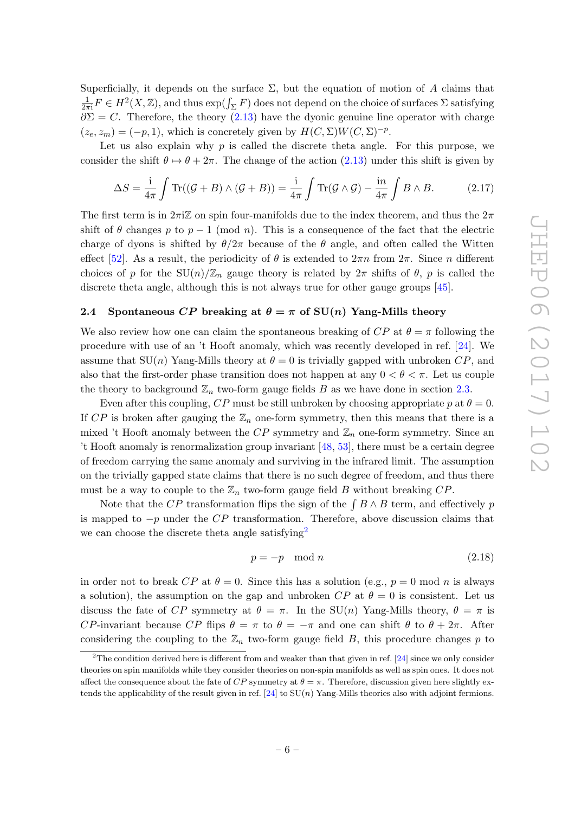Superficially, it depends on the surface  $\Sigma$ , but the equation of motion of A claims that 1  $\frac{1}{2\pi i}F \in H^2(X,\mathbb{Z})$ , and thus  $\exp(\int_{\Sigma} F)$  does not depend on the choice of surfaces  $\Sigma$  satisfying  $\partial \Sigma = C$ . Therefore, the theory [\(2.13\)](#page-5-0) have the dyonic genuine line operator with charge  $(z_e, z_m) = (-p, 1)$ , which is concretely given by  $H(C, \Sigma)W(C, \Sigma)^{-p}$ .

Let us also explain why  $p$  is called the discrete theta angle. For this purpose, we consider the shift  $\theta \mapsto \theta + 2\pi$ . The change of the action [\(2.13\)](#page-5-0) under this shift is given by

$$
\Delta S = \frac{\mathrm{i}}{4\pi} \int \mathrm{Tr}((\mathcal{G} + B) \wedge (\mathcal{G} + B)) = \frac{\mathrm{i}}{4\pi} \int \mathrm{Tr}(\mathcal{G} \wedge \mathcal{G}) - \frac{\mathrm{i}n}{4\pi} \int B \wedge B. \tag{2.17}
$$

The first term is in  $2\pi i\mathbb{Z}$  on spin four-manifolds due to the index theorem, and thus the  $2\pi$ shift of  $\theta$  changes p to  $p-1 \pmod{n}$ . This is a consequence of the fact that the electric charge of dyons is shifted by  $\theta/2\pi$  because of the  $\theta$  angle, and often called the Witten effect [\[52\]](#page-24-4). As a result, the periodicity of  $\theta$  is extended to  $2\pi n$  from  $2\pi$ . Since n different choices of p for the  $SU(n)/\mathbb{Z}_n$  gauge theory is related by  $2\pi$  shifts of  $\theta$ , p is called the discrete theta angle, although this is not always true for other gauge groups [\[45\]](#page-23-5).

## <span id="page-6-0"></span>2.4 Spontaneous CP breaking at  $\theta = \pi$  of SU(n) Yang-Mills theory

We also review how one can claim the spontaneous breaking of  $CP$  at  $\theta = \pi$  following the procedure with use of an 't Hooft anomaly, which was recently developed in ref. [\[24\]](#page-22-3). We assume that  $SU(n)$  Yang-Mills theory at  $\theta = 0$  is trivially gapped with unbroken  $CP$ , and also that the first-order phase transition does not happen at any  $0 < \theta < \pi$ . Let us couple the theory to background  $\mathbb{Z}_n$  two-form gauge fields B as we have done in section [2.3.](#page-4-0)

Even after this coupling,  $CP$  must be still unbroken by choosing appropriate p at  $\theta = 0$ . If CP is broken after gauging the  $\mathbb{Z}_n$  one-form symmetry, then this means that there is a mixed 't Hooft anomaly between the  $CP$  symmetry and  $\mathbb{Z}_n$  one-form symmetry. Since an 't Hooft anomaly is renormalization group invariant [\[48,](#page-24-0) [53\]](#page-24-5), there must be a certain degree of freedom carrying the same anomaly and surviving in the infrared limit. The assumption on the trivially gapped state claims that there is no such degree of freedom, and thus there must be a way to couple to the  $\mathbb{Z}_n$  two-form gauge field B without breaking  $CP$ .

Note that the CP transformation flips the sign of the  $\int B \wedge B$  term, and effectively p is mapped to  $-p$  under the  $\overline{CP}$  transformation. Therefore, above discussion claims that we can choose the discrete theta angle satisfying<sup>[2](#page-6-1)</sup>

$$
p = -p \mod{n} \tag{2.18}
$$

in order not to break  $CP$  at  $\theta = 0$ . Since this has a solution (e.g.,  $p = 0$  mod n is always a solution), the assumption on the gap and unbroken  $CP$  at  $\theta = 0$  is consistent. Let us discuss the fate of CP symmetry at  $\theta = \pi$ . In the SU(n) Yang-Mills theory,  $\theta = \pi$  is CP-invariant because CP flips  $\theta = \pi$  to  $\theta = -\pi$  and one can shift  $\theta$  to  $\theta + 2\pi$ . After considering the coupling to the  $\mathbb{Z}_n$  two-form gauge field B, this procedure changes p to

<span id="page-6-1"></span><sup>&</sup>lt;sup>2</sup>The condition derived here is different from and weaker than that given in ref. [\[24\]](#page-22-3) since we only consider theories on spin manifolds while they consider theories on non-spin manifolds as well as spin ones. It does not affect the consequence about the fate of CP symmetry at  $\theta = \pi$ . Therefore, discussion given here slightly ex-tends the applicability of the result given in ref. [\[24\]](#page-22-3) to  $SU(n)$  Yang-Mills theories also with adjoint fermions.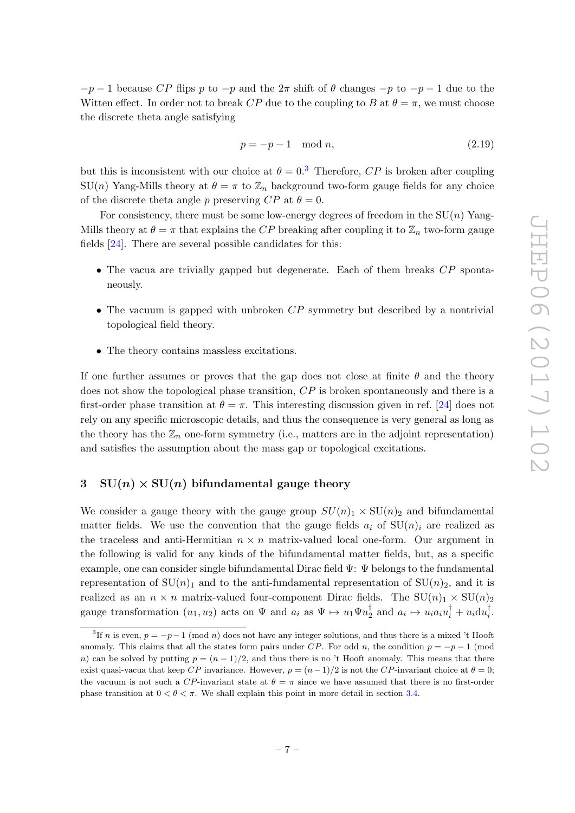$-p-1$  because CP flips p to  $-p$  and the  $2\pi$  shift of  $\theta$  changes  $-p$  to  $-p-1$  due to the Witten effect. In order not to break CP due to the coupling to B at  $\theta = \pi$ , we must choose the discrete theta angle satisfying

$$
p = -p - 1 \mod n,\tag{2.19}
$$

but this is inconsistent with our choice at  $\theta = 0^3$  $\theta = 0^3$ . Therefore, CP is broken after coupling  $SU(n)$  Yang-Mills theory at  $\theta = \pi$  to  $\mathbb{Z}_n$  background two-form gauge fields for any choice of the discrete theta angle p preserving  $CP$  at  $\theta = 0$ .

For consistency, there must be some low-energy degrees of freedom in the  $SU(n)$  Yang-Mills theory at  $\theta = \pi$  that explains the CP breaking after coupling it to  $\mathbb{Z}_n$  two-form gauge fields [\[24\]](#page-22-3). There are several possible candidates for this:

- The vacua are trivially gapped but degenerate. Each of them breaks CP spontaneously.
- The vacuum is gapped with unbroken  $CP$  symmetry but described by a nontrivial topological field theory.
- The theory contains massless excitations.

If one further assumes or proves that the gap does not close at finite  $\theta$  and the theory does not show the topological phase transition, CP is broken spontaneously and there is a first-order phase transition at  $\theta = \pi$ . This interesting discussion given in ref. [\[24\]](#page-22-3) does not rely on any specific microscopic details, and thus the consequence is very general as long as the theory has the  $\mathbb{Z}_n$  one-form symmetry (i.e., matters are in the adjoint representation) and satisfies the assumption about the mass gap or topological excitations.

# <span id="page-7-0"></span>3  $SU(n) \times SU(n)$  bifundamental gauge theory

We consider a gauge theory with the gauge group  $SU(n)_1 \times SU(n)_2$  and bifundamental matter fields. We use the convention that the gauge fields  $a_i$  of  $SU(n)_i$  are realized as the traceless and anti-Hermitian  $n \times n$  matrix-valued local one-form. Our argument in the following is valid for any kinds of the bifundamental matter fields, but, as a specific example, one can consider single bifundamental Dirac field  $\Psi: \Psi$  belongs to the fundamental representation of  $SU(n)_1$  and to the anti-fundamental representation of  $SU(n)_2$ , and it is realized as an  $n \times n$  matrix-valued four-component Dirac fields. The  $SU(n)_1 \times SU(n)_2$ gauge transformation  $(u_1, u_2)$  acts on  $\Psi$  and  $a_i$  as  $\Psi \mapsto u_1 \Psi u_2^{\dagger}$  $a_i^{\dagger}$  and  $a_i \mapsto u_i a_i u_i^{\dagger} + u_i \text{d}u_i^{\dagger}$  $\frac{1}{i}$ .

<span id="page-7-1"></span><sup>&</sup>lt;sup>3</sup>If n is even,  $p = -p-1 \pmod{n}$  does not have any integer solutions, and thus there is a mixed 't Hooft anomaly. This claims that all the states form pairs under CP. For odd n, the condition  $p = -p - 1$  (mod n) can be solved by putting  $p = (n-1)/2$ , and thus there is no 't Hooft anomaly. This means that there exist quasi-vacua that keep CP invariance. However,  $p = (n-1)/2$  is not the CP-invariant choice at  $\theta = 0$ ; the vacuum is not such a CP-invariant state at  $\theta = \pi$  since we have assumed that there is no first-order phase transition at  $0 < \theta < \pi$ . We shall explain this point in more detail in section [3.4.](#page-14-0)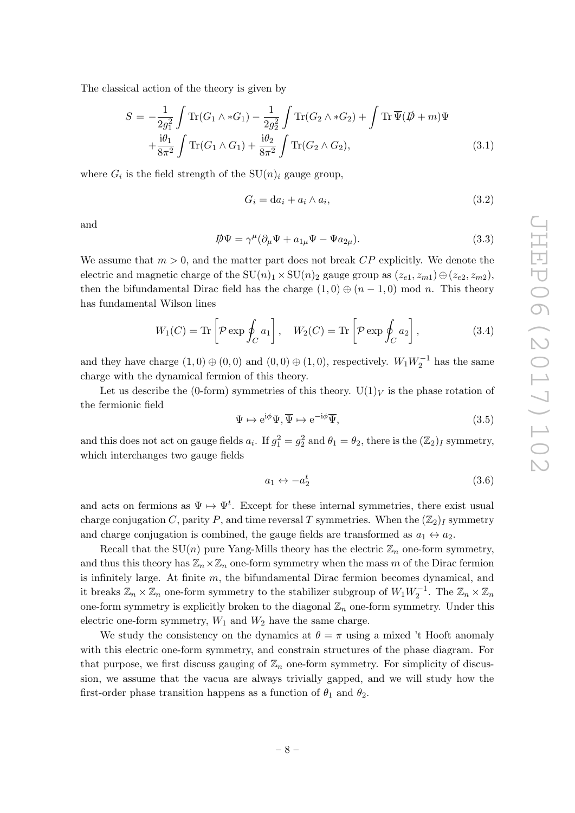The classical action of the theory is given by

$$
S = -\frac{1}{2g_1^2} \int \text{Tr}(G_1 \wedge *G_1) - \frac{1}{2g_2^2} \int \text{Tr}(G_2 \wedge *G_2) + \int \text{Tr}\,\overline{\Psi}(\not{D} + m)\Psi + \frac{i\theta_1}{8\pi^2} \int \text{Tr}(G_1 \wedge G_1) + \frac{i\theta_2}{8\pi^2} \int \text{Tr}(G_2 \wedge G_2),
$$
(3.1)

where  $G_i$  is the field strength of the  $SU(n)_i$  gauge group,

$$
G_i = da_i + a_i \wedge a_i,\tag{3.2}
$$

and

<span id="page-8-0"></span>
$$
\mathcal{D}\Psi = \gamma^{\mu}(\partial_{\mu}\Psi + a_{1\mu}\Psi - \Psi a_{2\mu}).
$$
\n(3.3)

We assume that  $m > 0$ , and the matter part does not break  $\mathbb{CP}$  explicitly. We denote the electric and magnetic charge of the  $SU(n)_1 \times SU(n)_2$  gauge group as  $(z_{e1}, z_{m1}) \oplus (z_{e2}, z_{m2})$ , then the bifundamental Dirac field has the charge  $(1,0) \oplus (n-1,0)$  mod n. This theory has fundamental Wilson lines

<span id="page-8-1"></span>
$$
W_1(C) = \text{Tr}\left[\mathcal{P}\exp\oint_C a_1\right], \quad W_2(C) = \text{Tr}\left[\mathcal{P}\exp\oint_C a_2\right],\tag{3.4}
$$

and they have charge  $(1,0) \oplus (0,0)$  and  $(0,0) \oplus (1,0)$ , respectively.  $W_1 W_2^{-1}$  has the same charge with the dynamical fermion of this theory.

Let us describe the (0-form) symmetries of this theory.  $U(1)_V$  is the phase rotation of the fermionic field

$$
\Psi \mapsto e^{i\phi} \Psi, \overline{\Psi} \mapsto e^{-i\phi} \overline{\Psi}, \tag{3.5}
$$

and this does not act on gauge fields  $a_i$ . If  $g_1^2 = g_2^2$  and  $\theta_1 = \theta_2$ , there is the  $(\mathbb{Z}_2)_I$  symmetry, which interchanges two gauge fields

$$
a_1 \leftrightarrow -a_2^t \tag{3.6}
$$

and acts on fermions as  $\Psi \mapsto \Psi^t$ . Except for these internal symmetries, there exist usual charge conjugation C, parity P, and time reversal T symmetries. When the  $(\mathbb{Z}_2)_I$  symmetry and charge conjugation is combined, the gauge fields are transformed as  $a_1 \leftrightarrow a_2$ .

Recall that the  $SU(n)$  pure Yang-Mills theory has the electric  $\mathbb{Z}_n$  one-form symmetry, and thus this theory has  $\mathbb{Z}_n\times\mathbb{Z}_n$  one-form symmetry when the mass m of the Dirac fermion is infinitely large. At finite  $m$ , the bifundamental Dirac fermion becomes dynamical, and it breaks  $\mathbb{Z}_n \times \mathbb{Z}_n$  one-form symmetry to the stabilizer subgroup of  $W_1 W_2^{-1}$ . The  $\mathbb{Z}_n \times \mathbb{Z}_n$ one-form symmetry is explicitly broken to the diagonal  $\mathbb{Z}_n$  one-form symmetry. Under this electric one-form symmetry,  $W_1$  and  $W_2$  have the same charge.

We study the consistency on the dynamics at  $\theta = \pi$  using a mixed 't Hooft anomaly with this electric one-form symmetry, and constrain structures of the phase diagram. For that purpose, we first discuss gauging of  $\mathbb{Z}_n$  one-form symmetry. For simplicity of discussion, we assume that the vacua are always trivially gapped, and we will study how the first-order phase transition happens as a function of  $\theta_1$  and  $\theta_2$ .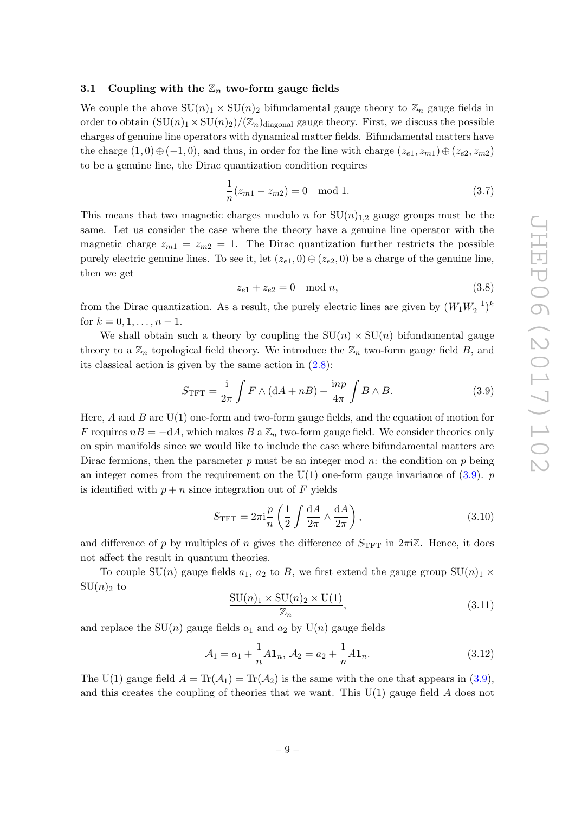#### <span id="page-9-0"></span>3.1 Coupling with the  $\mathbb{Z}_n$  two-form gauge fields

We couple the above  $SU(n)_1 \times SU(n)_2$  bifundamental gauge theory to  $\mathbb{Z}_n$  gauge fields in order to obtain  $(SU(n)<sub>1</sub> \times SU(n)<sub>2</sub>)/(\mathbb{Z}_n)$ <sub>diagonal</sub> gauge theory. First, we discuss the possible charges of genuine line operators with dynamical matter fields. Bifundamental matters have the charge  $(1,0) \oplus (-1,0)$ , and thus, in order for the line with charge  $(z_{e1}, z_{m1}) \oplus (z_{e2}, z_{m2})$ to be a genuine line, the Dirac quantization condition requires

$$
\frac{1}{n}(z_{m1} - z_{m2}) = 0 \mod 1.
$$
 (3.7)

This means that two magnetic charges modulo n for  $SU(n)_{1,2}$  gauge groups must be the same. Let us consider the case where the theory have a genuine line operator with the magnetic charge  $z_{m1} = z_{m2} = 1$ . The Dirac quantization further restricts the possible purely electric genuine lines. To see it, let  $(z_{e1}, 0) \oplus (z_{e2}, 0)$  be a charge of the genuine line, then we get

$$
z_{e1} + z_{e2} = 0 \mod n,\tag{3.8}
$$

from the Dirac quantization. As a result, the purely electric lines are given by  $(W_1W_2^{-1})^k$ for  $k = 0, 1, \ldots, n - 1$ .

We shall obtain such a theory by coupling the  $SU(n) \times SU(n)$  bifundamental gauge theory to a  $\mathbb{Z}_n$  topological field theory. We introduce the  $\mathbb{Z}_n$  two-form gauge field B, and its classical action is given by the same action in  $(2.8)$ :

<span id="page-9-1"></span>
$$
S_{\text{TFT}} = \frac{\mathrm{i}}{2\pi} \int F \wedge (\mathrm{d}A + n) + \frac{\mathrm{in}p}{4\pi} \int B \wedge B. \tag{3.9}
$$

Here, A and B are  $U(1)$  one-form and two-form gauge fields, and the equation of motion for F requires  $n = -dA$ , which makes B a  $\mathbb{Z}_n$  two-form gauge field. We consider theories only on spin manifolds since we would like to include the case where bifundamental matters are Dirac fermions, then the parameter p must be an integer mod n: the condition on p being an integer comes from the requirement on the  $U(1)$  one-form gauge invariance of  $(3.9)$ . p is identified with  $p + n$  since integration out of F yields

$$
S_{\rm TFT} = 2\pi i \frac{p}{n} \left( \frac{1}{2} \int \frac{dA}{2\pi} \wedge \frac{dA}{2\pi} \right),\tag{3.10}
$$

and difference of p by multiples of n gives the difference of  $S_{\text{TFT}}$  in  $2\pi i \mathbb{Z}$ . Hence, it does not affect the result in quantum theories.

To couple  $SU(n)$  gauge fields  $a_1, a_2$  to B, we first extend the gauge group  $SU(n)_1 \times$  $SU(n)_2$  to

$$
\frac{\mathrm{SU}(n)_1 \times \mathrm{SU}(n)_2 \times \mathrm{U}(1)}{\mathbb{Z}_n},\tag{3.11}
$$

and replace the  $SU(n)$  gauge fields  $a_1$  and  $a_2$  by  $U(n)$  gauge fields

$$
\mathcal{A}_1 = a_1 + \frac{1}{n} A \mathbf{1}_n, \, \mathcal{A}_2 = a_2 + \frac{1}{n} A \mathbf{1}_n. \tag{3.12}
$$

The U(1) gauge field  $A = \text{Tr}(\mathcal{A}_1) = \text{Tr}(\mathcal{A}_2)$  is the same with the one that appears in [\(3.9\)](#page-9-1), and this creates the coupling of theories that we want. This  $U(1)$  gauge field A does not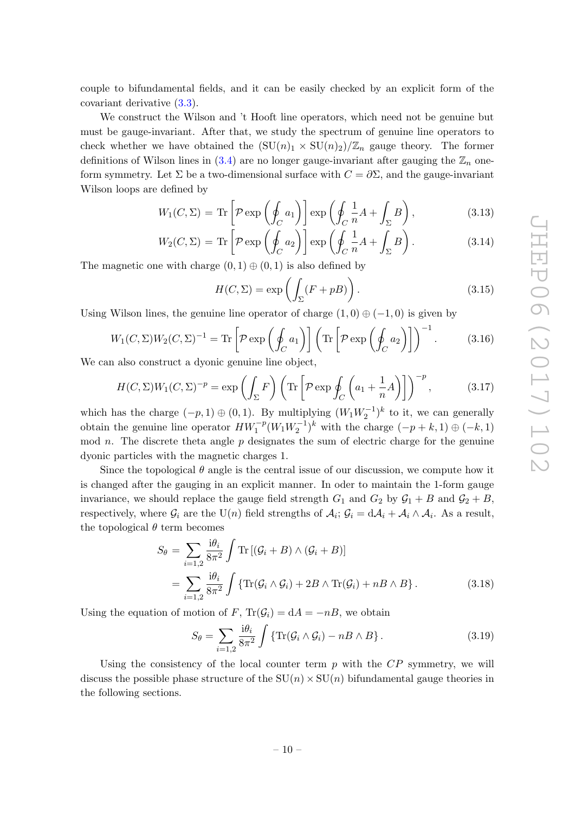couple to bifundamental fields, and it can be easily checked by an explicit form of the covariant derivative [\(3.3\)](#page-8-0).

We construct the Wilson and 't Hooft line operators, which need not be genuine but must be gauge-invariant. After that, we study the spectrum of genuine line operators to check whether we have obtained the  $(SU(n)_1 \times SU(n)_2)/\mathbb{Z}_n$  gauge theory. The former definitions of Wilson lines in  $(3.4)$  are no longer gauge-invariant after gauging the  $\mathbb{Z}_n$  oneform symmetry. Let  $\Sigma$  be a two-dimensional surface with  $C = \partial \Sigma$ , and the gauge-invariant Wilson loops are defined by

$$
W_1(C,\Sigma) = \text{Tr}\left[\mathcal{P}\exp\left(\oint_C a_1\right)\right] \exp\left(\oint_C \frac{1}{n}A + \int_{\Sigma} B\right),\tag{3.13}
$$

$$
W_2(C,\Sigma) = \text{Tr}\left[\mathcal{P}\exp\left(\oint_C a_2\right)\right] \exp\left(\oint_C \frac{1}{n}A + \int_{\Sigma} B\right). \tag{3.14}
$$

The magnetic one with charge  $(0, 1) \oplus (0, 1)$  is also defined by

$$
H(C, \Sigma) = \exp\left(\int_{\Sigma} (F + pB)\right). \tag{3.15}
$$

Using Wilson lines, the genuine line operator of charge  $(1,0) \oplus (-1,0)$  is given by

$$
W_1(C,\Sigma)W_2(C,\Sigma)^{-1} = \text{Tr}\left[\mathcal{P}\exp\left(\oint_C a_1\right)\right] \left(\text{Tr}\left[\mathcal{P}\exp\left(\oint_C a_2\right)\right]\right)^{-1}.\tag{3.16}
$$

We can also construct a dyonic genuine line object,

$$
H(C,\Sigma)W_1(C,\Sigma)^{-p} = \exp\left(\int_{\Sigma} F\right) \left(\text{Tr}\left[\mathcal{P}\exp\oint_C \left(a_1 + \frac{1}{n}A\right)\right]\right)^{-p},\tag{3.17}
$$

which has the charge  $(-p, 1) \oplus (0, 1)$ . By multiplying  $(W_1 W_2^{-1})^k$  to it, we can generally obtain the genuine line operator  $HW_1^{-p}(W_1W_2^{-1})^k$  with the charge  $(-p+k, 1) \oplus (-k, 1)$ mod  $n$ . The discrete theta angle  $p$  designates the sum of electric charge for the genuine dyonic particles with the magnetic charges 1.

Since the topological  $\theta$  angle is the central issue of our discussion, we compute how it is changed after the gauging in an explicit manner. In oder to maintain the 1-form gauge invariance, we should replace the gauge field strength  $G_1$  and  $G_2$  by  $G_1 + B$  and  $G_2 + B$ , respectively, where  $\mathcal{G}_i$  are the U(n) field strengths of  $\mathcal{A}_i$ ;  $\mathcal{G}_i = d\mathcal{A}_i + \mathcal{A}_i \wedge \mathcal{A}_i$ . As a result, the topological  $\theta$  term becomes

$$
S_{\theta} = \sum_{i=1,2} \frac{\mathrm{i} \theta_i}{8\pi^2} \int \mathrm{Tr} \left[ (\mathcal{G}_i + B) \wedge (\mathcal{G}_i + B) \right]
$$
  
= 
$$
\sum_{i=1,2} \frac{\mathrm{i} \theta_i}{8\pi^2} \int \{ \mathrm{Tr} (\mathcal{G}_i \wedge \mathcal{G}_i) + 2B \wedge \mathrm{Tr}(\mathcal{G}_i) + nB \wedge B \}.
$$
 (3.18)

Using the equation of motion of F,  $\text{Tr}(\mathcal{G}_i) = dA = -nB$ , we obtain

<span id="page-10-0"></span>
$$
S_{\theta} = \sum_{i=1,2} \frac{\mathrm{i}\theta_i}{8\pi^2} \int \{ \mathrm{Tr}(\mathcal{G}_i \wedge \mathcal{G}_i) - n \, \mathcal{B} \wedge \mathcal{B} \}. \tag{3.19}
$$

Using the consistency of the local counter term  $p$  with the  $\overline{CP}$  symmetry, we will discuss the possible phase structure of the  $SU(n) \times SU(n)$  bifundamental gauge theories in the following sections.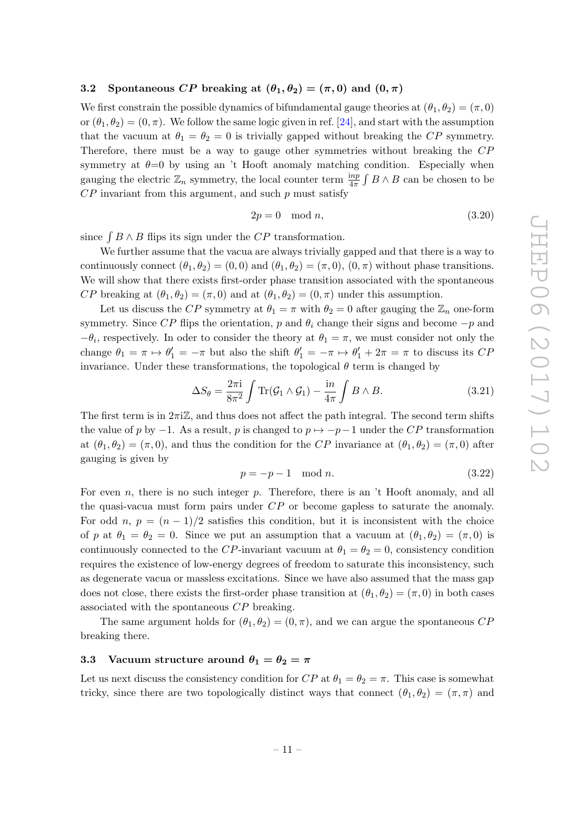### <span id="page-11-0"></span>3.2 Spontaneous CP breaking at  $(\theta_1, \theta_2) = (\pi, 0)$  and  $(0, \pi)$

We first constrain the possible dynamics of bifundamental gauge theories at  $(\theta_1, \theta_2) = (\pi, 0)$ or  $(\theta_1, \theta_2) = (0, \pi)$ . We follow the same logic given in ref. [\[24\]](#page-22-3), and start with the assumption that the vacuum at  $\theta_1 = \theta_2 = 0$  is trivially gapped without breaking the CP symmetry. Therefore, there must be a way to gauge other symmetries without breaking the CP symmetry at  $\theta=0$  by using an 't Hooft anomaly matching condition. Especially when gauging the electric  $\mathbb{Z}_n$  symmetry, the local counter term  $\frac{inp}{4\pi} \int B \wedge B$  can be chosen to be  $CP$  invariant from this argument, and such  $p$  must satisfy

$$
2p = 0 \mod n,\tag{3.20}
$$

since  $\int B \wedge B$  flips its sign under the CP transformation.

We further assume that the vacua are always trivially gapped and that there is a way to continuously connect  $(\theta_1, \theta_2) = (0, 0)$  and  $(\theta_1, \theta_2) = (\pi, 0), (0, \pi)$  without phase transitions. We will show that there exists first-order phase transition associated with the spontaneous CP breaking at  $(\theta_1, \theta_2) = (\pi, 0)$  and at  $(\theta_1, \theta_2) = (0, \pi)$  under this assumption.

Let us discuss the CP symmetry at  $\theta_1 = \pi$  with  $\theta_2 = 0$  after gauging the  $\mathbb{Z}_n$  one-form symmetry. Since CP flips the orientation, p and  $\theta_i$  change their signs and become  $-p$  and  $-\theta_i$ , respectively. In oder to consider the theory at  $\theta_1 = \pi$ , we must consider not only the change  $\theta_1 = \pi \mapsto \theta_1' = -\pi$  but also the shift  $\theta_1' = -\pi \mapsto \theta_1' + 2\pi = \pi$  to discuss its CP invariance. Under these transformations, the topological  $\theta$  term is changed by

$$
\Delta S_{\theta} = \frac{2\pi i}{8\pi^2} \int \text{Tr}(\mathcal{G}_1 \wedge \mathcal{G}_1) - \frac{in}{4\pi} \int B \wedge B. \tag{3.21}
$$

The first term is in  $2\pi i\mathbb{Z}$ , and thus does not affect the path integral. The second term shifts the value of p by  $-1$ . As a result, p is changed to  $p \mapsto -p-1$  under the CP transformation at  $(\theta_1, \theta_2) = (\pi, 0)$ , and thus the condition for the CP invariance at  $(\theta_1, \theta_2) = (\pi, 0)$  after gauging is given by

$$
p = -p - 1 \mod n. \tag{3.22}
$$

For even n, there is no such integer p. Therefore, there is an  $\ddot{\text{t}}$  Hooft anomaly, and all the quasi-vacua must form pairs under CP or become gapless to saturate the anomaly. For odd n,  $p = (n-1)/2$  satisfies this condition, but it is inconsistent with the choice of p at  $\theta_1 = \theta_2 = 0$ . Since we put an assumption that a vacuum at  $(\theta_1, \theta_2) = (\pi, 0)$  is continuously connected to the CP-invariant vacuum at  $\theta_1 = \theta_2 = 0$ , consistency condition requires the existence of low-energy degrees of freedom to saturate this inconsistency, such as degenerate vacua or massless excitations. Since we have also assumed that the mass gap does not close, there exists the first-order phase transition at  $(\theta_1, \theta_2) = (\pi, 0)$  in both cases associated with the spontaneous CP breaking.

The same argument holds for  $(\theta_1, \theta_2) = (0, \pi)$ , and we can argue the spontaneous CP breaking there.

# <span id="page-11-1"></span>3.3 Vacuum structure around  $\theta_1 = \theta_2 = \pi$

Let us next discuss the consistency condition for  $CP$  at  $\theta_1 = \theta_2 = \pi$ . This case is somewhat tricky, since there are two topologically distinct ways that connect  $(\theta_1, \theta_2) = (\pi, \pi)$  and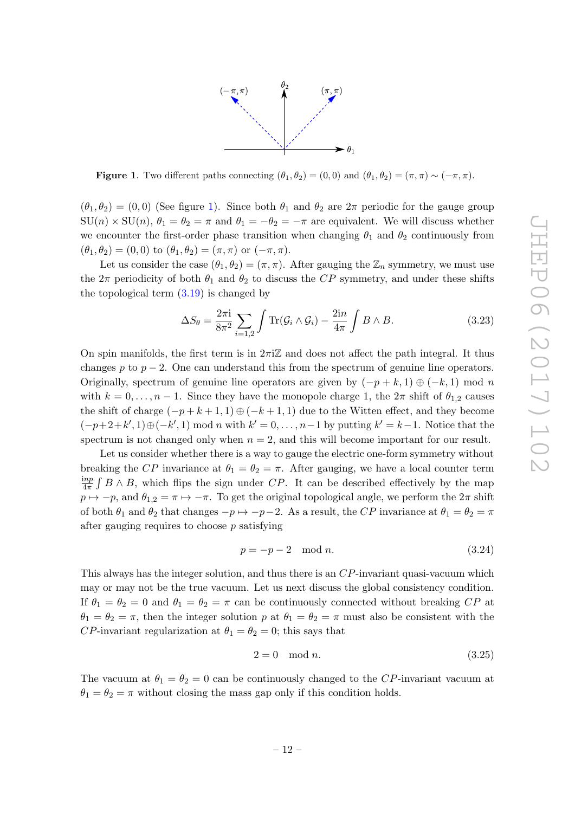

<span id="page-12-0"></span>**Figure 1.** Two different paths connecting  $(\theta_1, \theta_2) = (0, 0)$  and  $(\theta_1, \theta_2) = (\pi, \pi) \sim (-\pi, \pi)$ .

 $(\theta_1, \theta_2) = (0, 0)$  (See figure [1\)](#page-12-0). Since both  $\theta_1$  and  $\theta_2$  are  $2\pi$  periodic for the gauge group  $SU(n) \times SU(n)$ ,  $\theta_1 = \theta_2 = \pi$  and  $\theta_1 = -\theta_2 = -\pi$  are equivalent. We will discuss whether we encounter the first-order phase transition when changing  $\theta_1$  and  $\theta_2$  continuously from  $(\theta_1, \theta_2) = (0, 0)$  to  $(\theta_1, \theta_2) = (\pi, \pi)$  or  $(-\pi, \pi)$ .

Let us consider the case  $(\theta_1, \theta_2) = (\pi, \pi)$ . After gauging the  $\mathbb{Z}_n$  symmetry, we must use the  $2\pi$  periodicity of both  $\theta_1$  and  $\theta_2$  to discuss the CP symmetry, and under these shifts the topological term  $(3.19)$  is changed by

$$
\Delta S_{\theta} = \frac{2\pi i}{8\pi^2} \sum_{i=1,2} \int \text{Tr}(\mathcal{G}_i \wedge \mathcal{G}_i) - \frac{2in}{4\pi} \int B \wedge B. \tag{3.23}
$$

On spin manifolds, the first term is in  $2\pi i\mathbb{Z}$  and does not affect the path integral. It thus changes p to  $p-2$ . One can understand this from the spectrum of genuine line operators. Originally, spectrum of genuine line operators are given by  $(-p + k, 1) \oplus (-k, 1)$  mod n with  $k = 0, \ldots, n-1$ . Since they have the monopole charge 1, the  $2\pi$  shift of  $\theta_{1,2}$  causes the shift of charge  $(-p+k+1,1) \oplus (-k+1,1)$  due to the Witten effect, and they become  $(-p+2+k',1) \oplus (-k',1)$  mod n with  $k'=0,\ldots,n-1$  by putting  $k'=k-1$ . Notice that the spectrum is not changed only when  $n = 2$ , and this will become important for our result.

Let us consider whether there is a way to gauge the electric one-form symmetry without breaking the CP invariance at  $\theta_1 = \theta_2 = \pi$ . After gauging, we have a local counter term inp  $\frac{mp}{4\pi}$   $\int B \wedge B$ , which flips the sign under  $CP$ . It can be described effectively by the map  $p \mapsto -p$ , and  $\theta_{1,2} = \pi \mapsto -\pi$ . To get the original topological angle, we perform the  $2\pi$  shift of both  $\theta_1$  and  $\theta_2$  that changes  $-p \mapsto -p-2$ . As a result, the CP invariance at  $\theta_1 = \theta_2 = \pi$ after gauging requires to choose  $p$  satisfying

$$
p = -p - 2 \mod n. \tag{3.24}
$$

This always has the integer solution, and thus there is an CP-invariant quasi-vacuum which may or may not be the true vacuum. Let us next discuss the global consistency condition. If  $\theta_1 = \theta_2 = 0$  and  $\theta_1 = \theta_2 = \pi$  can be continuously connected without breaking CP at  $\theta_1 = \theta_2 = \pi$ , then the integer solution p at  $\theta_1 = \theta_2 = \pi$  must also be consistent with the CP-invariant regularization at  $\theta_1 = \theta_2 = 0$ ; this says that

<span id="page-12-1"></span>
$$
2 = 0 \mod n. \tag{3.25}
$$

The vacuum at  $\theta_1 = \theta_2 = 0$  can be continuously changed to the CP-invariant vacuum at  $\theta_1 = \theta_2 = \pi$  without closing the mass gap only if this condition holds.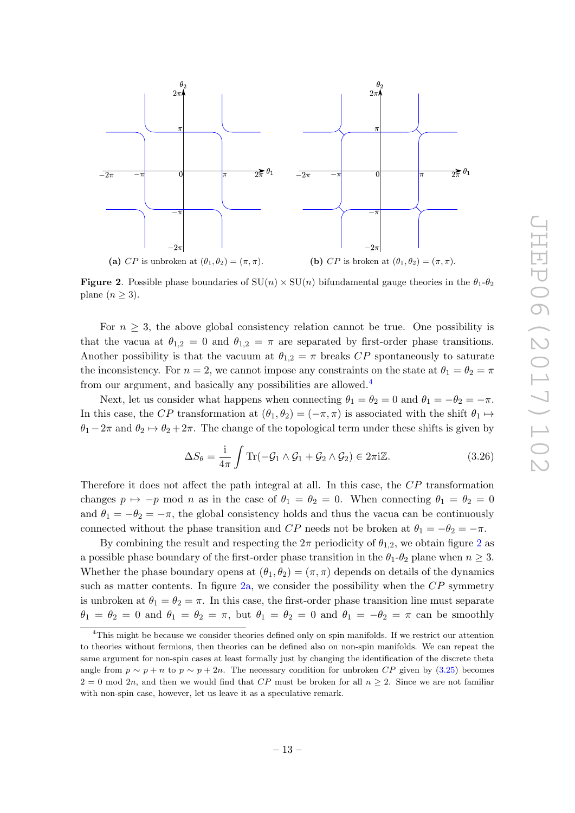<span id="page-13-3"></span><span id="page-13-2"></span>

<span id="page-13-1"></span>**Figure 2.** Possible phase boundaries of  $SU(n) \times SU(n)$  bifundamental gauge theories in the  $\theta_1$ - $\theta_2$ plane  $(n \geq 3)$ .

For  $n \geq 3$ , the above global consistency relation cannot be true. One possibility is that the vacua at  $\theta_{1,2} = 0$  and  $\theta_{1,2} = \pi$  are separated by first-order phase transitions. Another possibility is that the vacuum at  $\theta_{1,2} = \pi$  breaks CP spontaneously to saturate the inconsistency. For  $n = 2$ , we cannot impose any constraints on the state at  $\theta_1 = \theta_2 = \pi$ from our argument, and basically any possibilities are allowed.<sup>[4](#page-13-0)</sup>

Next, let us consider what happens when connecting  $\theta_1 = \theta_2 = 0$  and  $\theta_1 = -\theta_2 = -\pi$ . In this case, the CP transformation at  $(\theta_1, \theta_2) = (-\pi, \pi)$  is associated with the shift  $\theta_1 \mapsto$  $\theta_1 - 2\pi$  and  $\theta_2 \mapsto \theta_2 + 2\pi$ . The change of the topological term under these shifts is given by

$$
\Delta S_{\theta} = \frac{\mathrm{i}}{4\pi} \int \mathrm{Tr}(-\mathcal{G}_1 \wedge \mathcal{G}_1 + \mathcal{G}_2 \wedge \mathcal{G}_2) \in 2\pi \mathrm{i} \mathbb{Z}.\tag{3.26}
$$

Therefore it does not affect the path integral at all. In this case, the CP transformation changes  $p \mapsto -p \mod n$  as in the case of  $\theta_1 = \theta_2 = 0$ . When connecting  $\theta_1 = \theta_2 = 0$ and  $\theta_1 = -\theta_2 = -\pi$ , the global consistency holds and thus the vacua can be continuously connected without the phase transition and CP needs not be broken at  $\theta_1 = -\theta_2 = -\pi$ .

By combining the result and respecting the  $2\pi$  $2\pi$  periodicity of  $\theta_{1,2}$ , we obtain figure 2 as a possible phase boundary of the first-order phase transition in the  $\theta_1$ - $\theta_2$  plane when  $n \geq 3$ . Whether the phase boundary opens at  $(\theta_1, \theta_2) = (\pi, \pi)$  depends on details of the dynamics such as matter contents. In figure [2a,](#page-13-2) we consider the possibility when the  $\overline{CP}$  symmetry is unbroken at  $\theta_1 = \theta_2 = \pi$ . In this case, the first-order phase transition line must separate  $\theta_1 = \theta_2 = 0$  and  $\theta_1 = \theta_2 = \pi$ , but  $\theta_1 = \theta_2 = 0$  and  $\theta_1 = -\theta_2 = \pi$  can be smoothly

<span id="page-13-0"></span><sup>4</sup>This might be because we consider theories defined only on spin manifolds. If we restrict our attention to theories without fermions, then theories can be defined also on non-spin manifolds. We can repeat the same argument for non-spin cases at least formally just by changing the identification of the discrete theta angle from  $p \sim p + n$  to  $p \sim p + 2n$ . The necessary condition for unbroken CP given by [\(3.25\)](#page-12-1) becomes  $2 = 0$  mod  $2n$ , and then we would find that CP must be broken for all  $n \geq 2$ . Since we are not familiar with non-spin case, however, let us leave it as a speculative remark.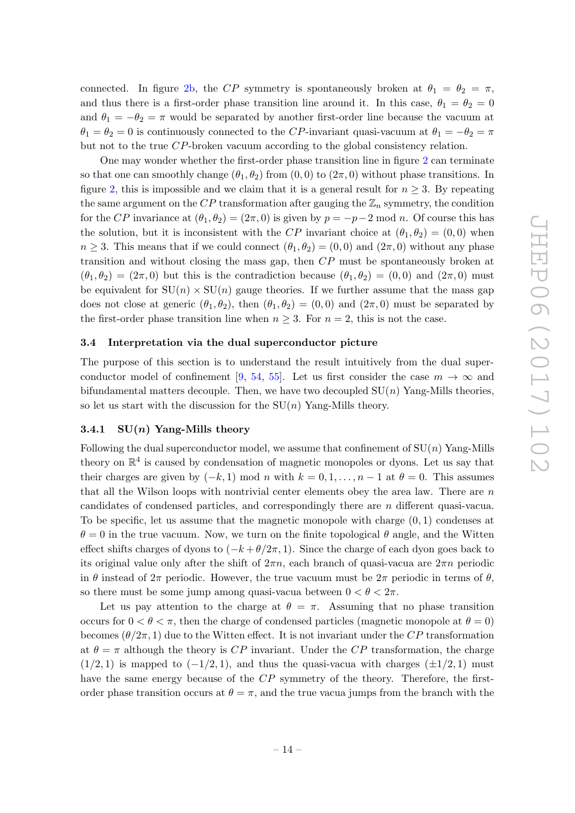connected. In figure [2b,](#page-13-3) the CP symmetry is spontaneously broken at  $\theta_1 = \theta_2 = \pi$ , and thus there is a first-order phase transition line around it. In this case,  $\theta_1 = \theta_2 = 0$ and  $\theta_1 = -\theta_2 = \pi$  would be separated by another first-order line because the vacuum at  $\theta_1 = \theta_2 = 0$  is continuously connected to the CP-invariant quasi-vacuum at  $\theta_1 = -\theta_2 = \pi$ but not to the true CP-broken vacuum according to the global consistency relation.

One may wonder whether the first-order phase transition line in figure [2](#page-13-1) can terminate so that one can smoothly change  $(\theta_1, \theta_2)$  from  $(0, 0)$  to  $(2\pi, 0)$  without phase transitions. In figure [2,](#page-13-1) this is impossible and we claim that it is a general result for  $n \geq 3$ . By repeating the same argument on the CP transformation after gauging the  $\mathbb{Z}_n$  symmetry, the condition for the CP invariance at  $(\theta_1, \theta_2) = (2\pi, 0)$  is given by  $p = -p-2$  mod n. Of course this has the solution, but it is inconsistent with the CP invariant choice at  $(\theta_1, \theta_2) = (0, 0)$  when  $n \geq 3$ . This means that if we could connect  $(\theta_1, \theta_2) = (0, 0)$  and  $(2\pi, 0)$  without any phase transition and without closing the mass gap, then CP must be spontaneously broken at  $(\theta_1, \theta_2) = (2\pi, 0)$  but this is the contradiction because  $(\theta_1, \theta_2) = (0, 0)$  and  $(2\pi, 0)$  must be equivalent for  $SU(n) \times SU(n)$  gauge theories. If we further assume that the mass gap does not close at generic  $(\theta_1, \theta_2)$ , then  $(\theta_1, \theta_2) = (0, 0)$  and  $(2\pi, 0)$  must be separated by the first-order phase transition line when  $n \geq 3$ . For  $n = 2$ , this is not the case.

#### <span id="page-14-0"></span>3.4 Interpretation via the dual superconductor picture

The purpose of this section is to understand the result intuitively from the dual super-conductor model of confinement [\[9,](#page-22-6) [54,](#page-24-6) [55\]](#page-24-7). Let us first consider the case  $m \to \infty$  and bifundamental matters decouple. Then, we have two decoupled  $SU(n)$  Yang-Mills theories, so let us start with the discussion for the  $SU(n)$  Yang-Mills theory.

## <span id="page-14-1"></span>3.4.1  $SU(n)$  Yang-Mills theory

Following the dual superconductor model, we assume that confinement of  $SU(n)$  Yang-Mills theory on  $\mathbb{R}^4$  is caused by condensation of magnetic monopoles or dyons. Let us say that their charges are given by  $(-k, 1)$  mod n with  $k = 0, 1, \ldots, n - 1$  at  $\theta = 0$ . This assumes that all the Wilson loops with nontrivial center elements obey the area law. There are  $n$ candidates of condensed particles, and correspondingly there are n different quasi-vacua. To be specific, let us assume that the magnetic monopole with charge  $(0, 1)$  condenses at  $\theta = 0$  in the true vacuum. Now, we turn on the finite topological  $\theta$  angle, and the Witten effect shifts charges of dyons to  $(-k+\theta/2\pi, 1)$ . Since the charge of each dyon goes back to its original value only after the shift of  $2\pi n$ , each branch of quasi-vacua are  $2\pi n$  periodic in  $\theta$  instead of  $2\pi$  periodic. However, the true vacuum must be  $2\pi$  periodic in terms of  $\theta$ , so there must be some jump among quasi-vacua between  $0 < \theta < 2\pi$ .

Let us pay attention to the charge at  $\theta = \pi$ . Assuming that no phase transition occurs for  $0 < \theta < \pi$ , then the charge of condensed particles (magnetic monopole at  $\theta = 0$ ) becomes  $(\theta/2\pi, 1)$  due to the Witten effect. It is not invariant under the CP transformation at  $\theta = \pi$  although the theory is CP invariant. Under the CP transformation, the charge  $(1/2, 1)$  is mapped to  $(-1/2, 1)$ , and thus the quasi-vacua with charges  $(\pm 1/2, 1)$  must have the same energy because of the CP symmetry of the theory. Therefore, the firstorder phase transition occurs at  $\theta = \pi$ , and the true vacua jumps from the branch with the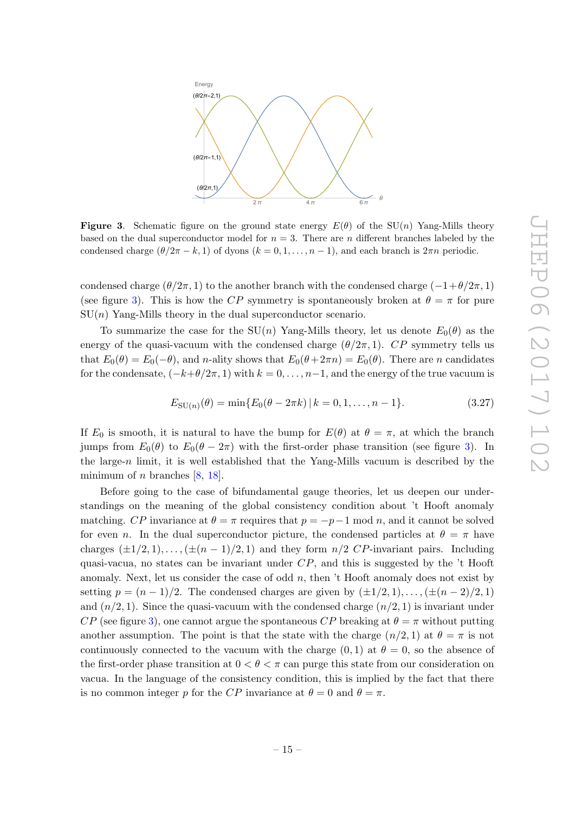

<span id="page-15-0"></span>**Figure 3.** Schematic figure on the ground state energy  $E(\theta)$  of the SU(n) Yang-Mills theory based on the dual superconductor model for  $n = 3$ . There are n different branches labeled by the condensed charge  $(\theta/2\pi - k, 1)$  of dyons  $(k = 0, 1, \ldots, n - 1)$ , and each branch is  $2\pi n$  periodic.

condensed charge  $(\theta/2\pi, 1)$  to the another branch with the condensed charge  $(-1+\theta/2\pi, 1)$ (see figure [3\)](#page-15-0). This is how the CP symmetry is spontaneously broken at  $\theta = \pi$  for pure  $SU(n)$  Yang-Mills theory in the dual superconductor scenario.

To summarize the case for the  $SU(n)$  Yang-Mills theory, let us denote  $E_0(\theta)$  as the energy of the quasi-vacuum with the condensed charge  $(\theta/2\pi, 1)$ . CP symmetry tells us that  $E_0(\theta) = E_0(-\theta)$ , and n-ality shows that  $E_0(\theta + 2\pi n) = E_0(\theta)$ . There are n candidates for the condensate,  $(-k+\theta/2\pi, 1)$  with  $k = 0, \ldots, n-1$ , and the energy of the true vacuum is

$$
E_{\text{SU}(n)}(\theta) = \min\{E_0(\theta - 2\pi k) \, | \, k = 0, 1, \dots, n - 1\}.
$$
\n(3.27)

If  $E_0$  is smooth, it is natural to have the bump for  $E(\theta)$  at  $\theta = \pi$ , at which the branch jumps from  $E_0(\theta)$  to  $E_0(\theta - 2\pi)$  with the first-order phase transition (see figure [3\)](#page-15-0). In the large-n limit, it is well established that the Yang-Mills vacuum is described by the minimum of *n* branches  $[8, 18]$  $[8, 18]$  $[8, 18]$ .

Before going to the case of bifundamental gauge theories, let us deepen our understandings on the meaning of the global consistency condition about 't Hooft anomaly matching. CP invariance at  $\theta = \pi$  requires that  $p = -p-1$  mod n, and it cannot be solved for even n. In the dual superconductor picture, the condensed particles at  $\theta = \pi$  have charges  $(\pm 1/2, 1), \ldots, (\pm (n-1)/2, 1)$  and they form  $n/2$  CP-invariant pairs. Including quasi-vacua, no states can be invariant under  $CP$ , and this is suggested by the 't Hooft anomaly. Next, let us consider the case of odd  $n$ , then 't Hooft anomaly does not exist by setting  $p = (n-1)/2$ . The condensed charges are given by  $(\pm 1/2, 1), \ldots, (\pm (n-2)/2, 1)$ and  $(n/2, 1)$ . Since the quasi-vacuum with the condensed charge  $(n/2, 1)$  is invariant under  $CP$  (see figure [3\)](#page-15-0), one cannot argue the spontaneous  $CP$  breaking at  $\theta = \pi$  without putting another assumption. The point is that the state with the charge  $(n/2, 1)$  at  $\theta = \pi$  is not continuously connected to the vacuum with the charge  $(0, 1)$  at  $\theta = 0$ , so the absence of the first-order phase transition at  $0 < \theta < \pi$  can purge this state from our consideration on vacua. In the language of the consistency condition, this is implied by the fact that there is no common integer p for the CP invariance at  $\theta = 0$  and  $\theta = \pi$ .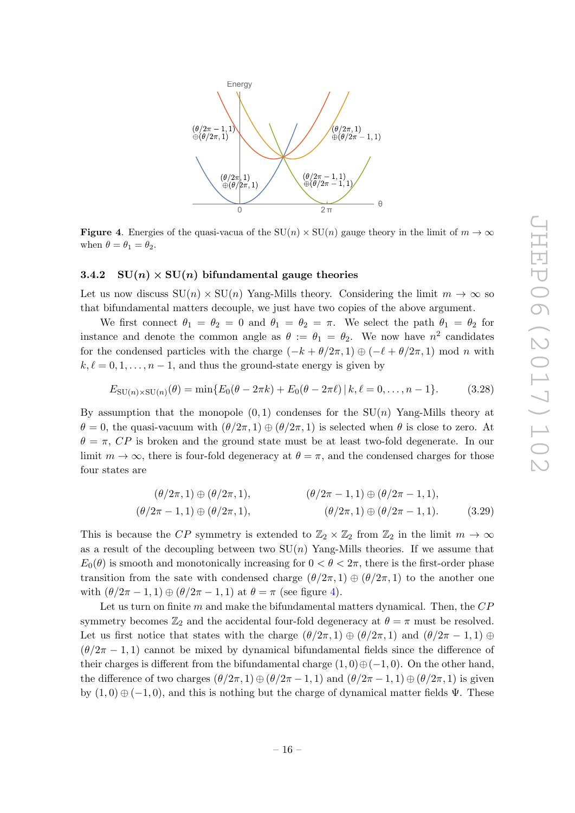

<span id="page-16-1"></span>**Figure 4.** Energies of the quasi-vacua of the  $SU(n) \times SU(n)$  gauge theory in the limit of  $m \to \infty$ when  $\theta = \theta_1 = \theta_2$ .

## <span id="page-16-0"></span>3.4.2  $SU(n) \times SU(n)$  bifundamental gauge theories

Let us now discuss  $SU(n) \times SU(n)$  Yang-Mills theory. Considering the limit  $m \to \infty$  so that bifundamental matters decouple, we just have two copies of the above argument.

We first connect  $\theta_1 = \theta_2 = 0$  and  $\theta_1 = \theta_2 = \pi$ . We select the path  $\theta_1 = \theta_2$  for instance and denote the common angle as  $\theta := \theta_1 = \theta_2$ . We now have  $n^2$  candidates for the condensed particles with the charge  $(-k + \theta/2\pi, 1) \oplus (-\ell + \theta/2\pi, 1) \mod n$  with  $k, \ell = 0, 1, \ldots, n - 1$ , and thus the ground-state energy is given by

$$
E_{\text{SU}(n)\times\text{SU}(n)}(\theta) = \min\{E_0(\theta - 2\pi k) + E_0(\theta - 2\pi \ell) \,|\, k, \ell = 0, \dots, n - 1\}.\tag{3.28}
$$

By assumption that the monopole  $(0, 1)$  condenses for the  $SU(n)$  Yang-Mills theory at  $\theta = 0$ , the quasi-vacuum with  $(\theta/2\pi, 1) \oplus (\theta/2\pi, 1)$  is selected when  $\theta$  is close to zero. At  $\theta = \pi$ , CP is broken and the ground state must be at least two-fold degenerate. In our limit  $m \to \infty$ , there is four-fold degeneracy at  $\theta = \pi$ , and the condensed charges for those four states are

$$
(\theta/2\pi, 1) \oplus (\theta/2\pi, 1), \qquad (\theta/2\pi - 1, 1) \oplus (\theta/2\pi - 1, 1),
$$
  

$$
(\theta/2\pi - 1, 1) \oplus (\theta/2\pi, 1), \qquad (\theta/2\pi, 1) \oplus (\theta/2\pi - 1, 1). \qquad (3.29)
$$

This is because the CP symmetry is extended to  $\mathbb{Z}_2 \times \mathbb{Z}_2$  from  $\mathbb{Z}_2$  in the limit  $m \to \infty$ as a result of the decoupling between two  $SU(n)$  Yang-Mills theories. If we assume that  $E_0(\theta)$  is smooth and monotonically increasing for  $0 < \theta < 2\pi$ , there is the first-order phase transition from the sate with condensed charge  $(\theta/2\pi, 1) \oplus (\theta/2\pi, 1)$  to the another one with  $(\theta/2\pi - 1, 1) \oplus (\theta/2\pi - 1, 1)$  at  $\theta = \pi$  (see figure [4\)](#page-16-1).

Let us turn on finite  $m$  and make the bifundamental matters dynamical. Then, the  $CP$ symmetry becomes  $\mathbb{Z}_2$  and the accidental four-fold degeneracy at  $\theta = \pi$  must be resolved. Let us first notice that states with the charge  $(\theta/2\pi, 1) \oplus (\theta/2\pi, 1)$  and  $(\theta/2\pi - 1, 1) \oplus$  $(\theta/2\pi - 1, 1)$  cannot be mixed by dynamical bifundamental fields since the difference of their charges is different from the bifundamental charge  $(1,0) \oplus (-1,0)$ . On the other hand, the difference of two charges  $(\theta/2\pi, 1) \oplus (\theta/2\pi - 1, 1)$  and  $(\theta/2\pi - 1, 1) \oplus (\theta/2\pi, 1)$  is given by  $(1,0) \oplus (-1,0)$ , and this is nothing but the charge of dynamical matter fields  $\Psi$ . These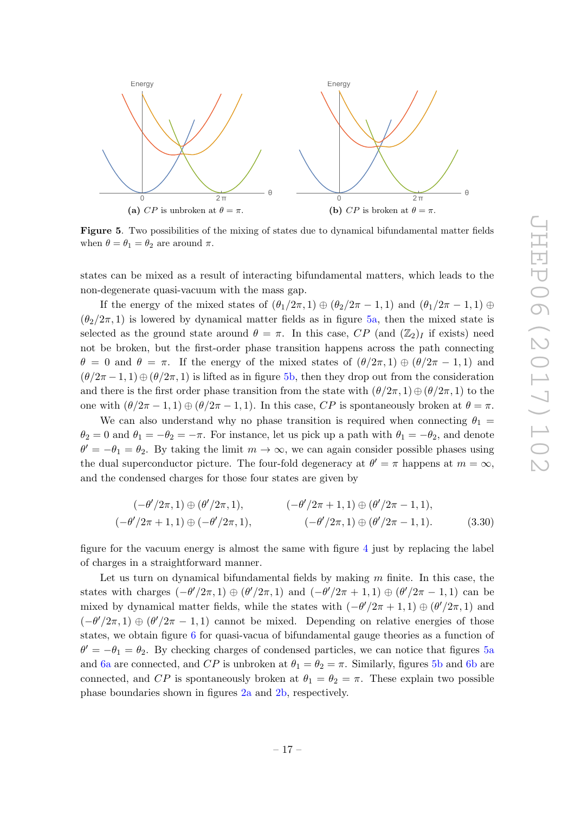<span id="page-17-1"></span><span id="page-17-0"></span>

Figure 5. Two possibilities of the mixing of states due to dynamical bifundamental matter fields when  $\theta = \theta_1 = \theta_2$  are around  $\pi$ .

states can be mixed as a result of interacting bifundamental matters, which leads to the non-degenerate quasi-vacuum with the mass gap.

If the energy of the mixed states of  $(\theta_1/2\pi, 1) \oplus (\theta_2/2\pi - 1, 1)$  and  $(\theta_1/2\pi - 1, 1) \oplus$  $(\theta_2/2\pi, 1)$  is lowered by dynamical matter fields as in figure [5a,](#page-17-0) then the mixed state is selected as the ground state around  $\theta = \pi$ . In this case, CP (and  $(\mathbb{Z}_2)_I$  if exists) need not be broken, but the first-order phase transition happens across the path connecting  $\theta = 0$  and  $\theta = \pi$ . If the energy of the mixed states of  $(\theta/2\pi, 1) \oplus (\theta/2\pi - 1, 1)$  and  $(\theta/2\pi - 1, 1) \oplus (\theta/2\pi, 1)$  is lifted as in figure [5b,](#page-17-1) then they drop out from the consideration and there is the first order phase transition from the state with  $(\theta/2\pi, 1) \oplus (\theta/2\pi, 1)$  to the one with  $(\theta/2\pi - 1, 1) \oplus (\theta/2\pi - 1, 1)$ . In this case, CP is spontaneously broken at  $\theta = \pi$ .

We can also understand why no phase transition is required when connecting  $\theta_1$  =  $\theta_2 = 0$  and  $\theta_1 = -\theta_2 = -\pi$ . For instance, let us pick up a path with  $\theta_1 = -\theta_2$ , and denote  $\theta' = -\theta_1 = \theta_2$ . By taking the limit  $m \to \infty$ , we can again consider possible phases using the dual superconductor picture. The four-fold degeneracy at  $\theta' = \pi$  happens at  $m = \infty$ , and the condensed charges for those four states are given by

$$
(-\theta'/2\pi, 1) \oplus (\theta'/2\pi, 1), \qquad (-\theta'/2\pi + 1, 1) \oplus (\theta'/2\pi - 1, 1),
$$
  

$$
(-\theta'/2\pi + 1, 1) \oplus (-\theta'/2\pi, 1), \qquad (-\theta'/2\pi, 1) \oplus (\theta'/2\pi - 1, 1).
$$
 (3.30)

figure for the vacuum energy is almost the same with figure [4](#page-16-1) just by replacing the label of charges in a straightforward manner.

Let us turn on dynamical bifundamental fields by making  $m$  finite. In this case, the states with charges  $(-\theta'/2\pi, 1) \oplus (\theta'/2\pi, 1)$  and  $(-\theta'/2\pi + 1, 1) \oplus (\theta'/2\pi - 1, 1)$  can be mixed by dynamical matter fields, while the states with  $(-\theta'/2\pi + 1, 1) \oplus (\theta'/2\pi, 1)$  and  $(-\theta'/2\pi, 1) \oplus (\theta'/2\pi - 1, 1)$  cannot be mixed. Depending on relative energies of those states, we obtain figure [6](#page-18-0) for quasi-vacua of bifundamental gauge theories as a function of  $\theta' = -\theta_1 = \theta_2$ . By checking charges of condensed particles, we can notice that figures [5a](#page-17-0) and [6a](#page-18-1) are connected, and CP is unbroken at  $\theta_1 = \theta_2 = \pi$ . Similarly, figures [5b](#page-17-1) and [6b](#page-18-2) are connected, and CP is spontaneously broken at  $\theta_1 = \theta_2 = \pi$ . These explain two possible phase boundaries shown in figures [2a](#page-13-2) and [2b,](#page-13-3) respectively.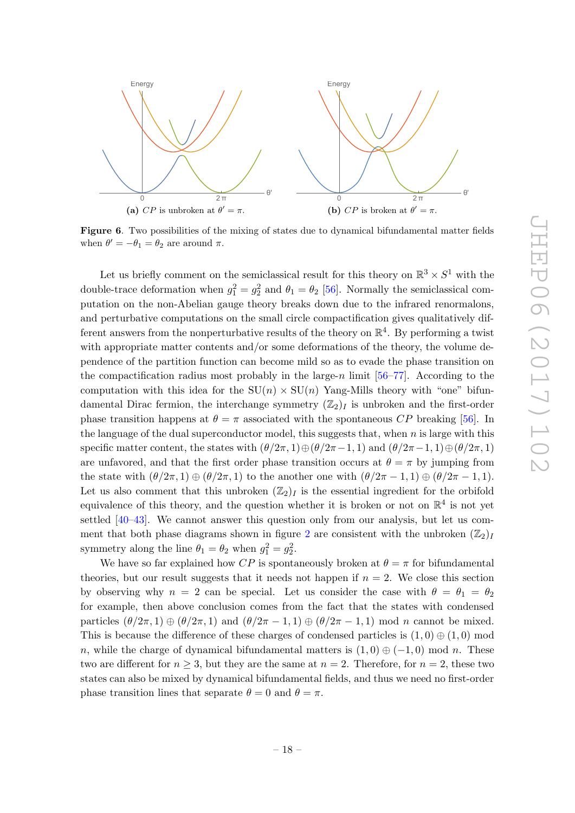<span id="page-18-2"></span><span id="page-18-1"></span>

<span id="page-18-0"></span>Figure 6. Two possibilities of the mixing of states due to dynamical bifundamental matter fields when  $\theta' = -\theta_1 = \theta_2$  are around  $\pi$ .

Let us briefly comment on the semiclassical result for this theory on  $\mathbb{R}^3 \times S^1$  with the double-trace deformation when  $g_1^2 = g_2^2$  and  $\theta_1 = \theta_2$  [\[56\]](#page-24-8). Normally the semiclassical computation on the non-Abelian gauge theory breaks down due to the infrared renormalons, and perturbative computations on the small circle compactification gives qualitatively different answers from the nonperturbative results of the theory on  $\mathbb{R}^4$ . By performing a twist with appropriate matter contents and/or some deformations of the theory, the volume dependence of the partition function can become mild so as to evade the phase transition on the compactification radius most probably in the large-n limit  $[56–77]$  $[56–77]$ . According to the computation with this idea for the  $SU(n) \times SU(n)$  Yang-Mills theory with "one" bifundamental Dirac fermion, the interchange symmetry  $(\mathbb{Z}_2)_I$  is unbroken and the first-order phase transition happens at  $\theta = \pi$  associated with the spontaneous CP breaking [\[56\]](#page-24-8). In the language of the dual superconductor model, this suggests that, when  $n$  is large with this specific matter content, the states with  $(\theta/2\pi, 1) \oplus (\theta/2\pi - 1, 1)$  and  $(\theta/2\pi - 1, 1) \oplus (\theta/2\pi, 1)$ are unfavored, and that the first order phase transition occurs at  $\theta = \pi$  by jumping from the state with  $(\theta/2\pi, 1) \oplus (\theta/2\pi, 1)$  to the another one with  $(\theta/2\pi - 1, 1) \oplus (\theta/2\pi - 1, 1)$ . Let us also comment that this unbroken  $(\mathbb{Z}_2)_I$  is the essential ingredient for the orbifold equivalence of this theory, and the question whether it is broken or not on  $\mathbb{R}^4$  is not yet settled [\[40–](#page-23-7)[43\]](#page-23-2). We cannot answer this question only from our analysis, but let us com-ment that both phase diagrams shown in figure [2](#page-13-1) are consistent with the unbroken  $(\mathbb{Z}_2)_I$ symmetry along the line  $\theta_1 = \theta_2$  when  $g_1^2 = g_2^2$ .

We have so far explained how CP is spontaneously broken at  $\theta = \pi$  for bifundamental theories, but our result suggests that it needs not happen if  $n = 2$ . We close this section by observing why  $n = 2$  can be special. Let us consider the case with  $\theta = \theta_1 = \theta_2$ for example, then above conclusion comes from the fact that the states with condensed particles  $(\theta/2\pi, 1) \oplus (\theta/2\pi, 1)$  and  $(\theta/2\pi - 1, 1) \oplus (\theta/2\pi - 1, 1)$  mod n cannot be mixed. This is because the difference of these charges of condensed particles is  $(1,0) \oplus (1,0)$  mod n, while the charge of dynamical bifundamental matters is  $(1, 0) \oplus (-1, 0)$  mod n. These two are different for  $n \geq 3$ , but they are the same at  $n = 2$ . Therefore, for  $n = 2$ , these two states can also be mixed by dynamical bifundamental fields, and thus we need no first-order phase transition lines that separate  $\theta = 0$  and  $\theta = \pi$ .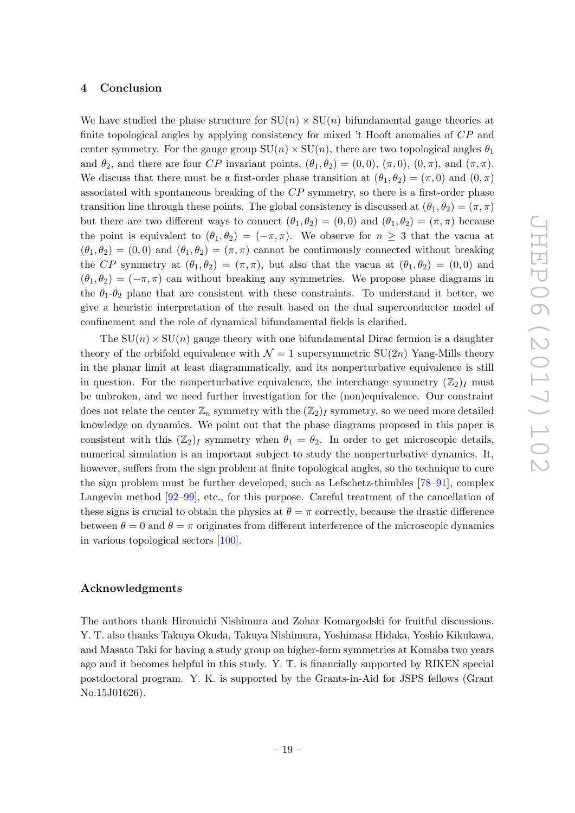#### <span id="page-19-0"></span>4 Conclusion

We have studied the phase structure for  $SU(n) \times SU(n)$  bifundamental gauge theories at finite topological angles by applying consistency for mixed 't Hooft anomalies of CP and center symmetry. For the gauge group  $SU(n) \times SU(n)$ , there are two topological angles  $\theta_1$ and  $\theta_2$ , and there are four CP invariant points,  $(\theta_1, \theta_2) = (0, 0), (\pi, 0), (0, \pi)$ , and  $(\pi, \pi)$ . We discuss that there must be a first-order phase transition at  $(\theta_1, \theta_2) = (\pi, 0)$  and  $(0, \pi)$ associated with spontaneous breaking of the CP symmetry, so there is a first-order phase transition line through these points. The global consistency is discussed at  $(\theta_1, \theta_2) = (\pi, \pi)$ but there are two different ways to connect  $(\theta_1, \theta_2) = (0, 0)$  and  $(\theta_1, \theta_2) = (\pi, \pi)$  because the point is equivalent to  $(\theta_1, \theta_2) = (-\pi, \pi)$ . We observe for  $n \geq 3$  that the vacua at  $(\theta_1, \theta_2) = (0, 0)$  and  $(\theta_1, \theta_2) = (\pi, \pi)$  cannot be continuously connected without breaking the CP symmetry at  $(\theta_1, \theta_2) = (\pi, \pi)$ , but also that the vacua at  $(\theta_1, \theta_2) = (0, 0)$  and  $(\theta_1, \theta_2) = (-\pi, \pi)$  can without breaking any symmetries. We propose phase diagrams in the  $\theta_1$ - $\theta_2$  plane that are consistent with these constraints. To understand it better, we give a heuristic interpretation of the result based on the dual superconductor model of confinement and the role of dynamical bifundamental fields is clarified.

The  $SU(n) \times SU(n)$  gauge theory with one bifundamental Dirac fermion is a daughter theory of the orbifold equivalence with  $\mathcal{N} = 1$  supersymmetric SU(2n) Yang-Mills theory in the planar limit at least diagrammatically, and its nonperturbative equivalence is still in question. For the nonperturbative equivalence, the interchange symmetry  $(\mathbb{Z}_2)_I$  must be unbroken, and we need further investigation for the (non)equivalence. Our constraint does not relate the center  $\mathbb{Z}_n$  symmetry with the  $(\mathbb{Z}_2)_I$  symmetry, so we need more detailed knowledge on dynamics. We point out that the phase diagrams proposed in this paper is consistent with this  $(\mathbb{Z}_2)_I$  symmetry when  $\theta_1 = \theta_2$ . In order to get microscopic details, numerical simulation is an important subject to study the nonperturbative dynamics. It, however, suffers from the sign problem at finite topological angles, so the technique to cure the sign problem must be further developed, such as Lefschetz-thimbles [\[78](#page-25-1)[–91\]](#page-26-0), complex Langevin method [\[92](#page-26-1)[–99\]](#page-26-2), etc., for this purpose. Careful treatment of the cancellation of these signs is crucial to obtain the physics at  $\theta = \pi$  correctly, because the drastic difference between  $\theta = 0$  and  $\theta = \pi$  originates from different interference of the microscopic dynamics in various topological sectors [\[100\]](#page-26-3).

## Acknowledgments

The authors thank Hiromichi Nishimura and Zohar Komargodski for fruitful discussions. Y. T. also thanks Takuya Okuda, Takuya Nishimura, Yoshimasa Hidaka, Yoshio Kikukawa, and Masato Taki for having a study group on higher-form symmetries at Komaba two years ago and it becomes helpful in this study. Y. T. is financially supported by RIKEN special postdoctoral program. Y. K. is supported by the Grants-in-Aid for JSPS fellows (Grant No.15J01626).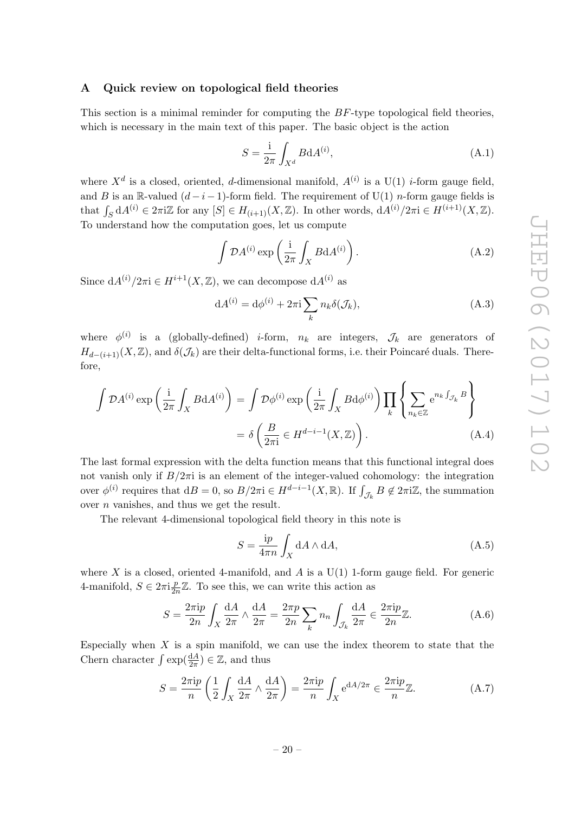## <span id="page-20-0"></span>A Quick review on topological field theories

This section is a minimal reminder for computing the BF-type topological field theories. which is necessary in the main text of this paper. The basic object is the action

$$
S = \frac{i}{2\pi} \int_{X^d} B \mathrm{d}A^{(i)},\tag{A.1}
$$

where  $X^d$  is a closed, oriented, *d*-dimensional manifold,  $A^{(i)}$  is a U(1) *i*-form gauge field, and B is an R-valued  $(d-i-1)$ -form field. The requirement of U(1) *n*-form gauge fields is that  $\int_S dA^{(i)} \in 2\pi i \mathbb{Z}$  for any  $[S] \in H_{(i+1)}(X,\mathbb{Z})$ . In other words,  $dA^{(i)}/2\pi i \in H^{(i+1)}(X,\mathbb{Z})$ . To understand how the computation goes, let us compute

$$
\int \mathcal{D}A^{(i)} \exp\left(\frac{i}{2\pi} \int_X B \mathrm{d}A^{(i)}\right). \tag{A.2}
$$

Since  $dA^{(i)}/2\pi i \in H^{i+1}(X,\mathbb{Z})$ , we can decompose  $dA^{(i)}$  as

$$
dA^{(i)} = d\phi^{(i)} + 2\pi i \sum_{k} n_k \delta(\mathcal{J}_k), \tag{A.3}
$$

where  $\phi^{(i)}$  is a (globally-defined) *i*-form,  $n_k$  are integers,  $\mathcal{J}_k$  are generators of  $H_{d-(i+1)}(X,\mathbb{Z})$ , and  $\delta(\mathcal{J}_k)$  are their delta-functional forms, i.e. their Poincaré duals. Therefore,

$$
\int \mathcal{D}A^{(i)} \exp\left(\frac{i}{2\pi} \int_X B \mathrm{d}A^{(i)}\right) = \int \mathcal{D}\phi^{(i)} \exp\left(\frac{i}{2\pi} \int_X B \mathrm{d}\phi^{(i)}\right) \prod_k \left\{ \sum_{n_k \in \mathbb{Z}} e^{n_k \int_{\mathcal{J}_k} B} \right\}
$$
\n
$$
= \delta \left(\frac{B}{2\pi i} \in H^{d-i-1}(X, \mathbb{Z})\right). \tag{A.4}
$$

The last formal expression with the delta function means that this functional integral does not vanish only if  $B/2\pi i$  is an element of the integer-valued cohomology: the integration over  $\phi^{(i)}$  requires that  $dB = 0$ , so  $B/2\pi i \in H^{d-i-1}(X,\mathbb{R})$ . If  $\int_{\mathcal{J}_k} B \notin 2\pi i \mathbb{Z}$ , the summation over  $n$  vanishes, and thus we get the result.

The relevant 4-dimensional topological field theory in this note is

$$
S = \frac{ip}{4\pi n} \int_X dA \wedge dA,\tag{A.5}
$$

where X is a closed, oriented 4-manifold, and A is a  $U(1)$  1-form gauge field. For generic 4-manifold,  $S \in 2\pi i \frac{p}{2n}$  $\frac{p}{2n}\mathbb{Z}$ . To see this, we can write this action as

$$
S = \frac{2\pi i p}{2n} \int_X \frac{dA}{2\pi} \wedge \frac{dA}{2\pi} = \frac{2\pi p}{2n} \sum_k n_n \int_{\mathcal{J}_k} \frac{dA}{2\pi} \in \frac{2\pi i p}{2n} \mathbb{Z}.
$$
 (A.6)

Especially when  $X$  is a spin manifold, we can use the index theorem to state that the Chern character  $\int \exp(\frac{dA}{2\pi}) \in \mathbb{Z}$ , and thus

$$
S = \frac{2\pi i p}{n} \left( \frac{1}{2} \int_X \frac{dA}{2\pi} \wedge \frac{dA}{2\pi} \right) = \frac{2\pi i p}{n} \int_X e^{dA/2\pi} \in \frac{2\pi i p}{n} \mathbb{Z}.
$$
 (A.7)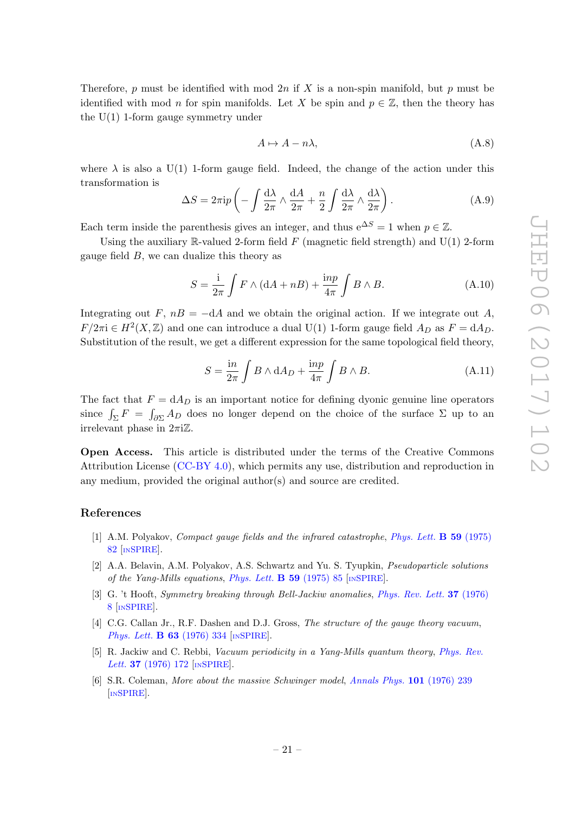Therefore, p must be identified with mod  $2n$  if X is a non-spin manifold, but p must be identified with mod n for spin manifolds. Let X be spin and  $p \in \mathbb{Z}$ , then the theory has the  $U(1)$  1-form gauge symmetry under

$$
A \mapsto A - n\lambda,\tag{A.8}
$$

where  $\lambda$  is also a U(1) 1-form gauge field. Indeed, the change of the action under this transformation is

$$
\Delta S = 2\pi i p \left( -\int \frac{d\lambda}{2\pi} \wedge \frac{dA}{2\pi} + \frac{n}{2} \int \frac{d\lambda}{2\pi} \wedge \frac{d\lambda}{2\pi} \right). \tag{A.9}
$$

Each term inside the parenthesis gives an integer, and thus  $e^{\Delta S} = 1$  when  $p \in \mathbb{Z}$ .

Using the auxiliary  $\mathbb R$ -valued 2-form field  $F$  (magnetic field strength) and U(1) 2-form gauge field  $B$ , we can dualize this theory as

$$
S = \frac{\mathrm{i}}{2\pi} \int F \wedge (\mathrm{d}A + n) + \frac{\mathrm{inp}}{4\pi} \int B \wedge B. \tag{A.10}
$$

Integrating out F,  $n = -dA$  and we obtain the original action. If we integrate out A,  $F/2\pi i \in H^2(X,\mathbb{Z})$  and one can introduce a dual U(1) 1-form gauge field  $A_D$  as  $F = dA_D$ . Substitution of the result, we get a different expression for the same topological field theory,

$$
S = \frac{\mathrm{i}n}{2\pi} \int B \wedge \mathrm{d}A_D + \frac{\mathrm{i}np}{4\pi} \int B \wedge B. \tag{A.11}
$$

The fact that  $F = dA_D$  is an important notice for defining dyonic genuine line operators since  $\int_{\Sigma} F = \int_{\partial \Sigma} A_D$  does no longer depend on the choice of the surface  $\Sigma$  up to an irrelevant phase in  $2\pi i \mathbb{Z}$ .

Open Access. This article is distributed under the terms of the Creative Commons Attribution License [\(CC-BY 4.0\)](https://creativecommons.org/licenses/by/4.0/), which permits any use, distribution and reproduction in any medium, provided the original author(s) and source are credited.

## References

- <span id="page-21-0"></span>[1] A.M. Polyakov, *Compact gauge fields and the infrared catastrophe, [Phys. Lett.](https://doi.org/10.1016/0370-2693(75)90162-8)* **B 59** (1975) [82](https://doi.org/10.1016/0370-2693(75)90162-8) [IN[SPIRE](https://inspirehep.net/search?p=find+J+%22Phys.Lett.,B59,82%22)].
- [2] A.A. Belavin, A.M. Polyakov, A.S. Schwartz and Yu. S. Tyupkin, Pseudoparticle solutions of the Yang-Mills equations, [Phys. Lett.](https://doi.org/10.1016/0370-2693(75)90163-X)  $\bf{B}$  59 (1975) 85 [IN[SPIRE](https://inspirehep.net/search?p=find+J+%22Phys.Lett.,B59,85%22)].
- [3] G. 't Hooft, Symmetry breaking through Bell-Jackiw anomalies, [Phys. Rev. Lett.](https://doi.org/10.1103/PhysRevLett.37.8) 37 (1976) [8](https://doi.org/10.1103/PhysRevLett.37.8) [IN[SPIRE](https://inspirehep.net/search?p=find+J+%22Phys.Rev.Lett.,37,8%22)].
- [4] C.G. Callan Jr., R.F. Dashen and D.J. Gross, The structure of the gauge theory vacuum, [Phys. Lett.](https://doi.org/10.1016/0370-2693(76)90277-X) **B 63** (1976) 334 [IN[SPIRE](https://inspirehep.net/search?p=find+J+%22Phys.Lett.,B63,334%22)].
- [5] R. Jackiw and C. Rebbi, Vacuum periodicity in a Yang-Mills quantum theory, [Phys. Rev.](https://doi.org/10.1103/PhysRevLett.37.172) Lett. **37** [\(1976\) 172](https://doi.org/10.1103/PhysRevLett.37.172) [IN[SPIRE](https://inspirehep.net/search?p=find+J+%22Phys.Rev.Lett.,37,172%22)].
- <span id="page-21-1"></span>[6] S.R. Coleman, More about the massive Schwinger model, [Annals Phys.](https://doi.org/10.1016/0003-4916(76)90280-3) 101 (1976) 239 [IN[SPIRE](https://inspirehep.net/search?p=find+J+%22AnnalsPhys.,101,239%22)].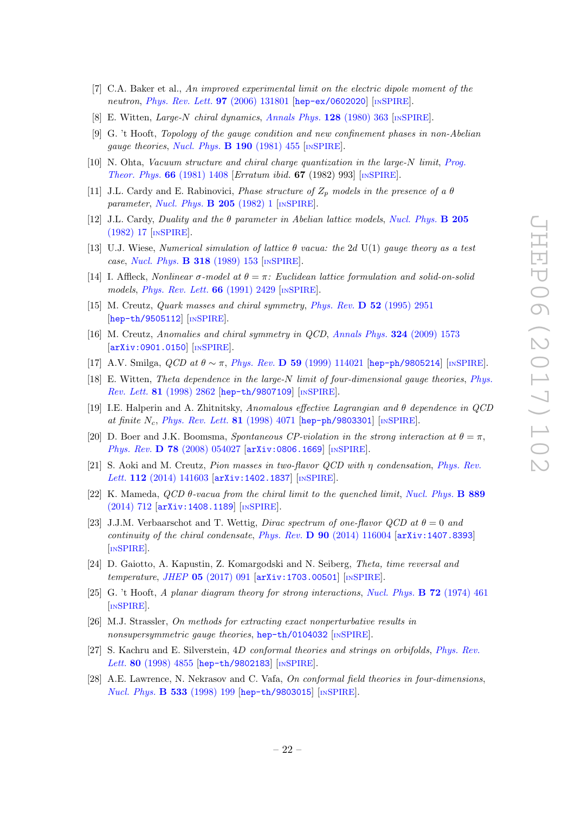- <span id="page-22-0"></span>[7] C.A. Baker et al., An improved experimental limit on the electric dipole moment of the neutron, *[Phys. Rev. Lett.](https://doi.org/10.1103/PhysRevLett.97.131801)* **97** (2006) 131801 [[hep-ex/0602020](https://arxiv.org/abs/hep-ex/0602020)] [IN[SPIRE](https://inspirehep.net/search?p=find+EPRINT+hep-ex/0602020)].
- <span id="page-22-1"></span>[8] E. Witten, Large-N chiral dynamics, [Annals Phys.](https://doi.org/10.1016/0003-4916(80)90325-5)  $128$  (1980) 363 [IN[SPIRE](https://inspirehep.net/search?p=find+J+%22AnnalsPhys.,128,363%22)].
- <span id="page-22-6"></span>[9] G. 't Hooft, Topology of the gauge condition and new confinement phases in non-Abelian gauge theories, [Nucl. Phys.](https://doi.org/10.1016/0550-3213(81)90442-9)  $\bf{B}$  190 (1981) 455 [IN[SPIRE](https://inspirehep.net/search?p=find+J+%22Nucl.Phys.,B190,455%22)].
- [10] N. Ohta, Vacuum structure and chiral charge quantization in the large-N limit, [Prog.](https://doi.org/10.1143/PTP.66.1408) [Theor. Phys.](https://doi.org/10.1143/PTP.66.1408) 66 (1981) 1408 [Erratum ibid. 67 (1982) 993] [IN[SPIRE](https://inspirehep.net/search?p=find+J+%22Prog.Theor.Phys.,66,1408%22)].
- [11] J.L. Cardy and E. Rabinovici, *Phase structure of*  $Z_p$  models in the presence of a  $\theta$ parameter, [Nucl. Phys.](https://doi.org/10.1016/0550-3213(82)90463-1)  $\bf{B}$  205 (1982) 1 [IN[SPIRE](https://inspirehep.net/search?p=find+J+%22Nucl.Phys.,B205,1%22)].
- [12] J.L. Cardy, Duality and the  $\theta$  parameter in Abelian lattice models, [Nucl. Phys.](https://doi.org/10.1016/0550-3213(82)90464-3) **B** 205 [\(1982\) 17](https://doi.org/10.1016/0550-3213(82)90464-3) [IN[SPIRE](https://inspirehep.net/search?p=find+J+%22Nucl.Phys.,B205,17%22)].
- [13] U.J. Wiese, Numerical simulation of lattice  $\theta$  vacua: the 2d U(1) gauge theory as a test case, [Nucl. Phys.](https://doi.org/10.1016/0550-3213(89)90051-5) B 318 (1989) 153 [IN[SPIRE](https://inspirehep.net/search?p=find+J+%22Nucl.Phys.,B318,153%22)].
- [14] I. Affleck, Nonlinear  $\sigma$ -model at  $\theta = \pi$ : Euclidean lattice formulation and solid-on-solid models, *[Phys. Rev. Lett.](https://doi.org/10.1103/PhysRevLett.66.2429)* **66** (1991) 2429 [IN[SPIRE](https://inspirehep.net/search?p=find+J+%22Phys.Rev.Lett.,66,2429%22)].
- [15] M. Creutz, Quark masses and chiral symmetry, Phys. Rev. D 52 [\(1995\) 2951](https://doi.org/10.1103/PhysRevD.52.2951) [[hep-th/9505112](https://arxiv.org/abs/hep-th/9505112)] [IN[SPIRE](https://inspirehep.net/search?p=find+EPRINT+hep-th/9505112)].
- [16] M. Creutz, Anomalies and chiral symmetry in QCD, [Annals Phys.](https://doi.org/10.1016/j.aop.2009.01.005) 324 (2009) 1573 [[arXiv:0901.0150](https://arxiv.org/abs/0901.0150)] [IN[SPIRE](https://inspirehep.net/search?p=find+EPRINT+arXiv:0901.0150)].
- [17] A.V. Smilga,  $QCD$  at  $\theta \sim \pi$ , Phys. Rev. D 59 [\(1999\) 114021](https://doi.org/10.1103/PhysRevD.59.114021) [[hep-ph/9805214](https://arxiv.org/abs/hep-ph/9805214)] [IN[SPIRE](https://inspirehep.net/search?p=find+EPRINT+hep-ph/9805214)].
- <span id="page-22-7"></span>[18] E. Witten, Theta dependence in the large-N limit of four-dimensional gauge theories, [Phys.](https://doi.org/10.1103/PhysRevLett.81.2862) Rev. Lett. 81 [\(1998\) 2862](https://doi.org/10.1103/PhysRevLett.81.2862) [[hep-th/9807109](https://arxiv.org/abs/hep-th/9807109)] [IN[SPIRE](https://inspirehep.net/search?p=find+EPRINT+hep-th/9807109)].
- [19] I.E. Halperin and A. Zhitnitsky, Anomalous effective Lagrangian and  $\theta$  dependence in QCD at finite  $N_c$ , [Phys. Rev. Lett.](https://doi.org/10.1103/PhysRevLett.81.4071) 81 (1998) 4071 [[hep-ph/9803301](https://arxiv.org/abs/hep-ph/9803301)] [IN[SPIRE](https://inspirehep.net/search?p=find+EPRINT+hep-ph/9803301)].
- [20] D. Boer and J.K. Boomsma, Spontaneous CP-violation in the strong interaction at  $\theta = \pi$ , Phys. Rev. D 78 [\(2008\) 054027](https://doi.org/10.1103/PhysRevD.78.054027) [[arXiv:0806.1669](https://arxiv.org/abs/0806.1669)] [IN[SPIRE](https://inspirehep.net/search?p=find+EPRINT+arXiv:0806.1669)].
- [21] S. Aoki and M. Creutz, Pion masses in two-flavor QCD with η condensation, [Phys. Rev.](https://doi.org/10.1103/PhysRevLett.112.141603) Lett. 112 [\(2014\) 141603](https://doi.org/10.1103/PhysRevLett.112.141603)  $[\text{arXiv:1402.1837}]$  $[\text{arXiv:1402.1837}]$  $[\text{arXiv:1402.1837}]$   $[\text{insPIRE}]$ .
- [22] K. Mameda,  $QCD \theta$ -vacua from the chiral limit to the quenched limit, [Nucl. Phys.](https://doi.org/10.1016/j.nuclphysb.2014.11.002) **B** 889 [\(2014\) 712](https://doi.org/10.1016/j.nuclphysb.2014.11.002) [[arXiv:1408.1189](https://arxiv.org/abs/1408.1189)] [IN[SPIRE](https://inspirehep.net/search?p=find+EPRINT+arXiv:1408.1189)].
- <span id="page-22-2"></span>[23] J.J.M. Verbaarschot and T. Wettig, *Dirac spectrum of one-flavor QCD at*  $\theta = 0$  and continuity of the chiral condensate, Phys. Rev.  $\bf{D}$  90 [\(2014\) 116004](https://doi.org/10.1103/PhysRevD.90.116004) [[arXiv:1407.8393](https://arxiv.org/abs/1407.8393)] [IN[SPIRE](https://inspirehep.net/search?p=find+EPRINT+arXiv:1407.8393)].
- <span id="page-22-3"></span>[24] D. Gaiotto, A. Kapustin, Z. Komargodski and N. Seiberg, Theta, time reversal and temperature, JHEP  $05$  [\(2017\) 091](https://doi.org/10.1007/JHEP05(2017)091)  $\left[$ [arXiv:1703.00501](https://arxiv.org/abs/1703.00501) $\right]$   $\left[$ IN[SPIRE](https://inspirehep.net/search?p=find+EPRINT+arXiv:1703.00501) $\right]$ .
- <span id="page-22-4"></span>[25] G. 't Hooft, A planar diagram theory for strong interactions, [Nucl. Phys.](https://doi.org/10.1016/0550-3213(74)90154-0) **B** 72 (1974) 461 [IN[SPIRE](https://inspirehep.net/search?p=find+J+%22Nucl.Phys.,B72,461%22)].
- <span id="page-22-5"></span>[26] M.J. Strassler, On methods for extracting exact nonperturbative results in nonsupersymmetric gauge theories, [hep-th/0104032](https://arxiv.org/abs/hep-th/0104032) [IN[SPIRE](https://inspirehep.net/search?p=find+EPRINT+hep-th/0104032)].
- [27] S. Kachru and E. Silverstein, 4D conformal theories and strings on orbifolds, [Phys. Rev.](https://doi.org/10.1103/PhysRevLett.80.4855) Lett. 80 [\(1998\) 4855](https://doi.org/10.1103/PhysRevLett.80.4855) [[hep-th/9802183](https://arxiv.org/abs/hep-th/9802183)] [IN[SPIRE](https://inspirehep.net/search?p=find+EPRINT+hep-th/9802183)].
- [28] A.E. Lawrence, N. Nekrasov and C. Vafa, On conformal field theories in four-dimensions, [Nucl. Phys.](https://doi.org/10.1016/S0550-3213(98)00495-7) **B 533** (1998) 199 [[hep-th/9803015](https://arxiv.org/abs/hep-th/9803015)] [IN[SPIRE](https://inspirehep.net/search?p=find+EPRINT+hep-th/9803015)].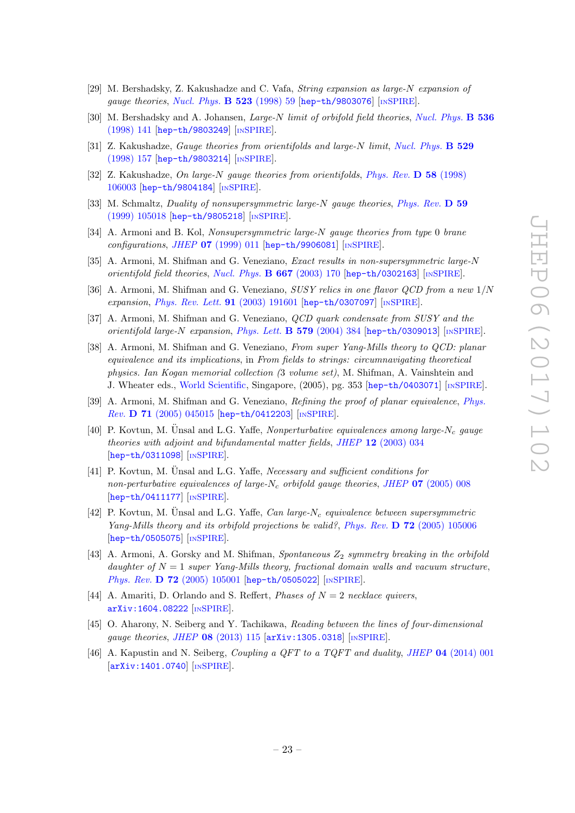- [29] M. Bershadsky, Z. Kakushadze and C. Vafa, String expansion as large-N expansion of gauge theories, [Nucl. Phys.](https://doi.org/10.1016/S0550-3213(98)00272-7)  $\bf{B}$  523 (1998) 59 [[hep-th/9803076](https://arxiv.org/abs/hep-th/9803076)] [IN[SPIRE](https://inspirehep.net/search?p=find+EPRINT+hep-th/9803076)].
- [30] M. Bershadsky and A. Johansen, Large-N limit of orbifold field theories, [Nucl. Phys.](https://doi.org/10.1016/S0550-3213(98)00526-4) **B 536** [\(1998\) 141](https://doi.org/10.1016/S0550-3213(98)00526-4) [[hep-th/9803249](https://arxiv.org/abs/hep-th/9803249)] [IN[SPIRE](https://inspirehep.net/search?p=find+EPRINT+hep-th/9803249)].
- [31] Z. Kakushadze, *Gauge theories from orientifolds and large-N limit, [Nucl. Phys.](https://doi.org/10.1016/S0550-3213(98)00366-6)* **B 529** [\(1998\) 157](https://doi.org/10.1016/S0550-3213(98)00366-6) [[hep-th/9803214](https://arxiv.org/abs/hep-th/9803214)] [IN[SPIRE](https://inspirehep.net/search?p=find+EPRINT+hep-th/9803214)].
- [32] Z. Kakushadze, On large-N gauge theories from orientifolds, [Phys. Rev.](https://doi.org/10.1103/PhysRevD.58.106003) D 58 (1998) [106003](https://doi.org/10.1103/PhysRevD.58.106003) [[hep-th/9804184](https://arxiv.org/abs/hep-th/9804184)] [IN[SPIRE](https://inspirehep.net/search?p=find+EPRINT+hep-th/9804184)].
- [33] M. Schmaltz, Duality of nonsupersymmetric large-N gauge theories, [Phys. Rev.](https://doi.org/10.1103/PhysRevD.59.105018) D 59 [\(1999\) 105018](https://doi.org/10.1103/PhysRevD.59.105018) [[hep-th/9805218](https://arxiv.org/abs/hep-th/9805218)] [IN[SPIRE](https://inspirehep.net/search?p=find+EPRINT+hep-th/9805218)].
- <span id="page-23-0"></span>[34] A. Armoni and B. Kol, Nonsupersymmetric large-N gauge theories from type 0 brane  $configurations, JHEP 07 (1999) 011$  $configurations, JHEP 07 (1999) 011$  [[hep-th/9906081](https://arxiv.org/abs/hep-th/9906081)] [IN[SPIRE](https://inspirehep.net/search?p=find+EPRINT+hep-th/9906081)].
- <span id="page-23-1"></span>[35] A. Armoni, M. Shifman and G. Veneziano, Exact results in non-supersymmetric large-N orientifold field theories, [Nucl. Phys.](https://doi.org/10.1016/S0550-3213(03)00538-8)  $\bf{B}$  667 (2003) 170 [[hep-th/0302163](https://arxiv.org/abs/hep-th/0302163)] [IN[SPIRE](https://inspirehep.net/search?p=find+EPRINT+hep-th/0302163)].
- [36] A. Armoni, M. Shifman and G. Veneziano, SUSY relics in one flavor QCD from a new 1/N expansion, [Phys. Rev. Lett.](https://doi.org/10.1103/PhysRevLett.91.191601) 91 (2003) 191601 [[hep-th/0307097](https://arxiv.org/abs/hep-th/0307097)] [IN[SPIRE](https://inspirehep.net/search?p=find+EPRINT+hep-th/0307097)].
- [37] A. Armoni, M. Shifman and G. Veneziano, QCD quark condensate from SUSY and the orientifold large-N expansion, [Phys. Lett.](https://doi.org/10.1016/j.physletb.2003.10.094)  $\bf{B}$  579 (2004) 384 [[hep-th/0309013](https://arxiv.org/abs/hep-th/0309013)] [IN[SPIRE](https://inspirehep.net/search?p=find+EPRINT+hep-th/0309013)].
- [38] A. Armoni, M. Shifman and G. Veneziano, From super Yang-Mills theory to QCD: planar equivalence and its implications, in From fields to strings: circumnavigating theoretical physics. Ian Kogan memorial collection (3 volume set), M. Shifman, A. Vainshtein and J. Wheater eds., [World Scientific,](https://doi.org/10.1142/9789812775344_0013) Singapore, (2005), pg. 353 [[hep-th/0403071](https://arxiv.org/abs/hep-th/0403071)] [IN[SPIRE](https://inspirehep.net/search?p=find+EPRINT+hep-th/0403071)].
- [39] A. Armoni, M. Shifman and G. Veneziano, Refining the proof of planar equivalence, [Phys.](https://doi.org/10.1103/PhysRevD.71.045015) Rev. D 71 [\(2005\) 045015](https://doi.org/10.1103/PhysRevD.71.045015) [[hep-th/0412203](https://arxiv.org/abs/hep-th/0412203)] [IN[SPIRE](https://inspirehep.net/search?p=find+EPRINT+hep-th/0412203)].
- <span id="page-23-7"></span>[40] P. Kovtun, M. Ünsal and L.G. Yaffe, Nonperturbative equivalences among large-N<sub>c</sub> gauge theories with adjoint and bifundamental matter fields, JHEP 12 [\(2003\) 034](https://doi.org/10.1088/1126-6708/2003/12/034) [[hep-th/0311098](https://arxiv.org/abs/hep-th/0311098)] [IN[SPIRE](https://inspirehep.net/search?p=find+EPRINT+hep-th/0311098)].
- <span id="page-23-3"></span>[41] P. Kovtun, M. Unsal and L.G. Yaffe, *Necessary and sufficient conditions for* non-perturbative equivalences of large-N<sub>c</sub> orbifold gauge theories, JHEP 07 [\(2005\) 008](https://doi.org/10.1088/1126-6708/2005/07/008) [[hep-th/0411177](https://arxiv.org/abs/hep-th/0411177)] [IN[SPIRE](https://inspirehep.net/search?p=find+EPRINT+hep-th/0411177)].
- [42] P. Kovtun, M. Unsal and L.G. Yaffe, *Can large-N<sub>c</sub>* equivalence between supersymmetric Yang-Mills theory and its orbifold projections be valid?, Phys. Rev.  $\bf{D}$  72 [\(2005\) 105006](https://doi.org/10.1103/PhysRevD.72.105006) [[hep-th/0505075](https://arxiv.org/abs/hep-th/0505075)] [IN[SPIRE](https://inspirehep.net/search?p=find+EPRINT+hep-th/0505075)].
- <span id="page-23-2"></span>[43] A. Armoni, A. Gorsky and M. Shifman, Spontaneous  $Z_2$  symmetry breaking in the orbifold daughter of  $N = 1$  super Yang-Mills theory, fractional domain walls and vacuum structure, Phys. Rev. **D 72** [\(2005\) 105001](https://doi.org/10.1103/PhysRevD.72.105001) [[hep-th/0505022](https://arxiv.org/abs/hep-th/0505022)] [IN[SPIRE](https://inspirehep.net/search?p=find+EPRINT+hep-th/0505022)].
- <span id="page-23-4"></span>[44] A. Amariti, D. Orlando and S. Reffert, *Phases of*  $N = 2$  necklace quivers, [arXiv:1604.08222](https://arxiv.org/abs/1604.08222) [IN[SPIRE](https://inspirehep.net/search?p=find+EPRINT+arXiv:1604.08222)].
- <span id="page-23-5"></span>[45] O. Aharony, N. Seiberg and Y. Tachikawa, Reading between the lines of four-dimensional gauge theories, JHEP 08 [\(2013\) 115](https://doi.org/10.1007/JHEP08(2013)115) [[arXiv:1305.0318](https://arxiv.org/abs/1305.0318)] [IN[SPIRE](https://inspirehep.net/search?p=find+EPRINT+arXiv:1305.0318)].
- <span id="page-23-6"></span>[46] A. Kapustin and N. Seiberg, Coupling a QFT to a TQFT and duality, JHEP 04 [\(2014\) 001](https://doi.org/10.1007/JHEP04(2014)001) [[arXiv:1401.0740](https://arxiv.org/abs/1401.0740)] [IN[SPIRE](https://inspirehep.net/search?p=find+EPRINT+arXiv:1401.0740)].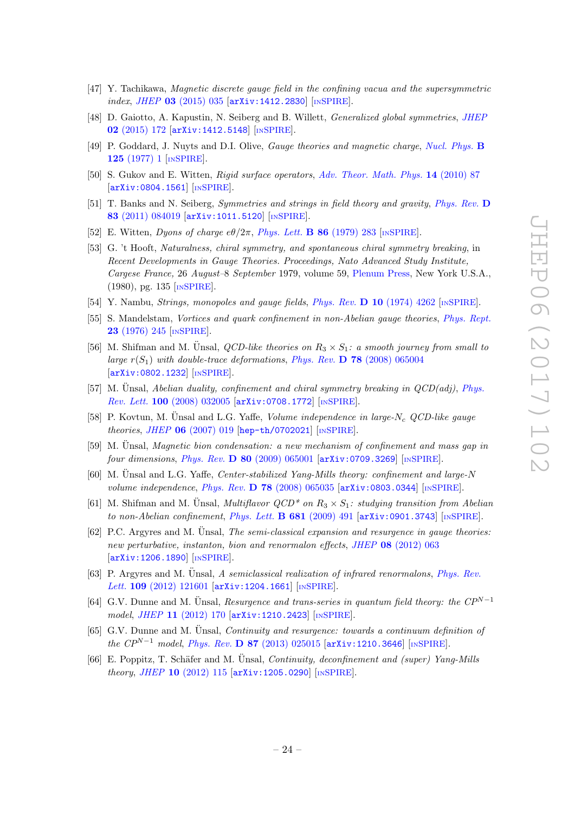- [47] Y. Tachikawa, Magnetic discrete gauge field in the confining vacua and the supersymmetric index, JHEP 03 [\(2015\) 035](https://doi.org/10.1007/JHEP03(2015)035) [[arXiv:1412.2830](https://arxiv.org/abs/1412.2830)] [IN[SPIRE](https://inspirehep.net/search?p=find+EPRINT+arXiv:1412.2830)].
- <span id="page-24-0"></span>[48] D. Gaiotto, A. Kapustin, N. Seiberg and B. Willett, Generalized global symmetries, [JHEP](https://doi.org/10.1007/JHEP02(2015)172) 02 [\(2015\) 172](https://doi.org/10.1007/JHEP02(2015)172) [[arXiv:1412.5148](https://arxiv.org/abs/1412.5148)] [IN[SPIRE](https://inspirehep.net/search?p=find+EPRINT+arXiv:1412.5148)].
- <span id="page-24-1"></span>[49] P. Goddard, J. Nuyts and D.I. Olive, Gauge theories and magnetic charge, [Nucl. Phys.](https://doi.org/10.1016/0550-3213(77)90221-8) B 125 [\(1977\) 1](https://doi.org/10.1016/0550-3213(77)90221-8) [IN[SPIRE](https://inspirehep.net/search?p=find+J+%22Nucl.Phys.,B125,1%22)].
- <span id="page-24-2"></span>[50] S. Gukov and E. Witten, *Rigid surface operators, [Adv. Theor. Math. Phys.](https://doi.org/10.4310/ATMP.2010.v14.n1.a3)* **14** (2010) 87 [[arXiv:0804.1561](https://arxiv.org/abs/0804.1561)] [IN[SPIRE](https://inspirehep.net/search?p=find+EPRINT+arXiv:0804.1561)].
- <span id="page-24-3"></span>[51] T. Banks and N. Seiberg, Symmetries and strings in field theory and gravity, [Phys. Rev.](https://doi.org/10.1103/PhysRevD.83.084019) D 83 [\(2011\) 084019](https://doi.org/10.1103/PhysRevD.83.084019) [[arXiv:1011.5120](https://arxiv.org/abs/1011.5120)] [IN[SPIRE](https://inspirehep.net/search?p=find+EPRINT+arXiv:1011.5120)].
- <span id="page-24-4"></span>[52] E. Witten, Dyons of charge  $e\theta/2\pi$ , [Phys. Lett.](https://doi.org/10.1016/0370-2693(79)90838-4) **B** 86 (1979) 283 [IN[SPIRE](https://inspirehep.net/search?p=find+J+%22Phys.Lett.,B86,283%22)].
- <span id="page-24-5"></span>[53] G. 't Hooft, Naturalness, chiral symmetry, and spontaneous chiral symmetry breaking, in Recent Developments in Gauge Theories. Proceedings, Nato Advanced Study Institute, Cargese France, 26 August–8 September 1979, volume 59, [Plenum Press,](https://doi.org/10.1007/978-1-4684-7571-5_9) New York U.S.A., (1980), pg. 135 [IN[SPIRE](https://inspirehep.net/search?p=find+recid+144074)].
- <span id="page-24-6"></span>[54] Y. Nambu, *Strings, monopoles and gauge fields, Phys. Rev.* **D 10** [\(1974\) 4262](https://doi.org/10.1103/PhysRevD.10.4262) [IN[SPIRE](https://inspirehep.net/search?p=find+J+%22Phys.Rev.,D10,4262%22)].
- <span id="page-24-7"></span>[55] S. Mandelstam, Vortices and quark confinement in non-Abelian gauge theories, [Phys. Rept.](https://doi.org/10.1016/0370-1573(76)90043-0) 23 [\(1976\) 245](https://doi.org/10.1016/0370-1573(76)90043-0) [IN[SPIRE](https://inspirehep.net/search?p=find+J+%22Phys.Rep.,23,245%22)].
- <span id="page-24-8"></span>[56] M. Shifman and M. Unsal, *QCD-like theories on*  $R_3 \times S_1$ : a smooth journey from small to large  $r(S_1)$  with double-trace deformations, Phys. Rev. **D** 78 [\(2008\) 065004](https://doi.org/10.1103/PhysRevD.78.065004) [[arXiv:0802.1232](https://arxiv.org/abs/0802.1232)] [IN[SPIRE](https://inspirehep.net/search?p=find+EPRINT+arXiv:0802.1232)].
- [57] M. Unsal, *Abelian duality, confinement and chiral symmetry breaking in*  $QCD(adj)$ *, [Phys.](https://doi.org/10.1103/PhysRevLett.100.032005)* Rev. Lett. 100 [\(2008\) 032005](https://doi.org/10.1103/PhysRevLett.100.032005) [[arXiv:0708.1772](https://arxiv.org/abs/0708.1772)] [IN[SPIRE](https://inspirehep.net/search?p=find+EPRINT+arXiv:0708.1772)].
- [58] P. Kovtun, M. Ünsal and L.G. Yaffe, Volume independence in large- $N_c$  QCD-like gauge theories, JHEP 06 [\(2007\) 019](https://doi.org/10.1088/1126-6708/2007/06/019) [[hep-th/0702021](https://arxiv.org/abs/hep-th/0702021)] [IN[SPIRE](https://inspirehep.net/search?p=find+EPRINT+hep-th/0702021)].
- [59] M. Unsal, *Magnetic bion condensation: a new mechanism of confinement and mass gap in* four dimensions, Phys. Rev. D 80 [\(2009\) 065001](https://doi.org/10.1103/PhysRevD.80.065001) [[arXiv:0709.3269](https://arxiv.org/abs/0709.3269)] [IN[SPIRE](https://inspirehep.net/search?p=find+EPRINT+arXiv:0709.3269)].
- [60] M. Unsal and L.G. Yaffe, *Center-stabilized Yang-Mills theory: confinement and large-N* volume independence, Phys. Rev. D 78 [\(2008\) 065035](https://doi.org/10.1103/PhysRevD.78.065035) [[arXiv:0803.0344](https://arxiv.org/abs/0803.0344)] [IN[SPIRE](https://inspirehep.net/search?p=find+EPRINT+arXiv:0803.0344)].
- [61] M. Shifman and M. Ünsal, *Multiflavor QCD<sup>\*</sup> on*  $R_3 \times S_1$ : *studying transition from Abelian* to non-Abelian confinement, [Phys. Lett.](https://doi.org/10.1016/j.physletb.2009.10.060)  $\bf{B} 681$  (2009) 491  $\arxiv:0901.3743$  [IN[SPIRE](https://inspirehep.net/search?p=find+EPRINT+arXiv:0901.3743)].
- $[62]$  P.C. Argyres and M. Unsal, *The semi-classical expansion and resurgence in gauge theories:* new perturbative, instanton, bion and renormalon effects, JHEP 08 [\(2012\) 063](https://doi.org/10.1007/JHEP08(2012)063) [[arXiv:1206.1890](https://arxiv.org/abs/1206.1890)] [IN[SPIRE](https://inspirehep.net/search?p=find+EPRINT+arXiv:1206.1890)].
- [63] P. Argyres and M. Unsal, A semiclassical realization of infrared renormalons, [Phys. Rev.](https://doi.org/10.1103/PhysRevLett.109.121601) Lett. 109 [\(2012\) 121601](https://doi.org/10.1103/PhysRevLett.109.121601) [[arXiv:1204.1661](https://arxiv.org/abs/1204.1661)] [IN[SPIRE](https://inspirehep.net/search?p=find+EPRINT+arXiv:1204.1661)].
- [64] G.V. Dunne and M. Ünsal, Resurgence and trans-series in quantum field theory: the  $CP^{N-1}$ model, JHEP 11 [\(2012\) 170](https://doi.org/10.1007/JHEP11(2012)170) [[arXiv:1210.2423](https://arxiv.org/abs/1210.2423)] [IN[SPIRE](https://inspirehep.net/search?p=find+EPRINT+arXiv:1210.2423)].
- [65] G.V. Dunne and M. Unsal, *Continuity and resurgence: towards a continuum definition of* the  $\mathbb{CP}^{N-1}$  model, Phys. Rev. D 87 [\(2013\) 025015](https://doi.org/10.1103/PhysRevD.87.025015) [[arXiv:1210.3646](https://arxiv.org/abs/1210.3646)] [IN[SPIRE](https://inspirehep.net/search?p=find+EPRINT+arXiv:1210.3646)].
- [66] E. Poppitz, T. Schäfer and M. Unsal, *Continuity, deconfinement and (super) Yang-Mills* theory, JHEP 10 [\(2012\) 115](https://doi.org/10.1007/JHEP10(2012)115) [[arXiv:1205.0290](https://arxiv.org/abs/1205.0290)] [IN[SPIRE](https://inspirehep.net/search?p=find+EPRINT+arXiv:1205.0290)].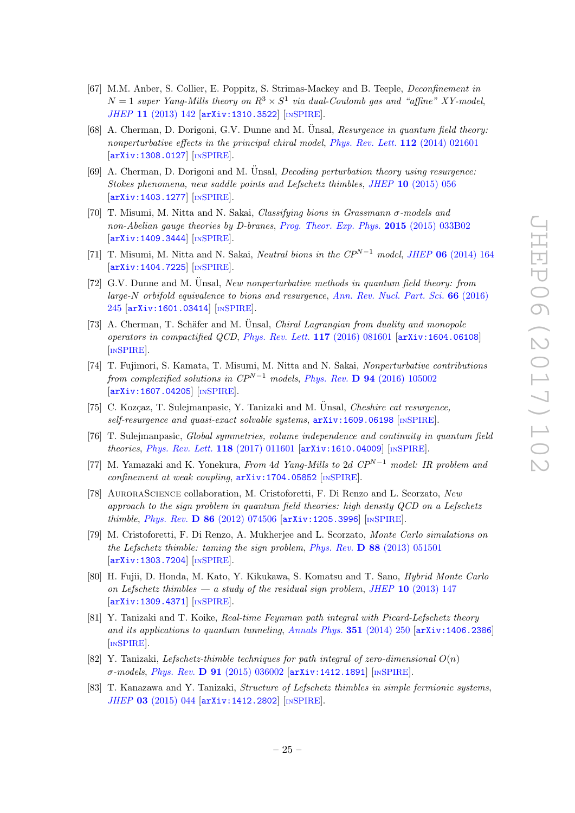- [67] M.M. Anber, S. Collier, E. Poppitz, S. Strimas-Mackey and B. Teeple, Deconfinement in  $N=1$  super Yang-Mills theory on  $R^3 \times S^1$  via dual-Coulomb gas and "affine" XY-model, JHEP 11 [\(2013\) 142](https://doi.org/10.1007/JHEP11(2013)142) [[arXiv:1310.3522](https://arxiv.org/abs/1310.3522)] [IN[SPIRE](https://inspirehep.net/search?p=find+EPRINT+arXiv:1310.3522)].
- [68] A. Cherman, D. Dorigoni, G.V. Dunne and M. Unsal, Resurgence in quantum field theory: nonperturbative effects in the principal chiral model, [Phys. Rev. Lett.](https://doi.org/10.1103/PhysRevLett.112.021601) 112 (2014) 021601 [[arXiv:1308.0127](https://arxiv.org/abs/1308.0127)] [IN[SPIRE](https://inspirehep.net/search?p=find+EPRINT+arXiv:1308.0127)].
- $[69]$  A. Cherman, D. Dorigoni and M. Unsal, *Decoding perturbation theory using resurgence:* Stokes phenomena, new saddle points and Lefschetz thimbles, JHEP 10 [\(2015\) 056](https://doi.org/10.1007/JHEP10(2015)056) [[arXiv:1403.1277](https://arxiv.org/abs/1403.1277)] [IN[SPIRE](https://inspirehep.net/search?p=find+EPRINT+arXiv:1403.1277)].
- [70] T. Misumi, M. Nitta and N. Sakai, Classifying bions in Grassmann σ-models and non-Abelian gauge theories by D-branes, [Prog. Theor. Exp. Phys.](https://doi.org/10.1093/ptep/ptv009) 2015 (2015) 033B02 [[arXiv:1409.3444](https://arxiv.org/abs/1409.3444)] [IN[SPIRE](https://inspirehep.net/search?p=find+EPRINT+arXiv:1409.3444)].
- [71] T. Misumi, M. Nitta and N. Sakai, Neutral bions in the  $CP^{N-1}$  model, JHEP 06 [\(2014\) 164](https://doi.org/10.1007/JHEP06(2014)164) [[arXiv:1404.7225](https://arxiv.org/abs/1404.7225)] [IN[SPIRE](https://inspirehep.net/search?p=find+EPRINT+arXiv:1404.7225)].
- $[72]$  G.V. Dunne and M. Unsal, New nonperturbative methods in quantum field theory: from large-N orbifold equivalence to bions and resurgence, [Ann. Rev. Nucl. Part. Sci.](https://doi.org/10.1146/annurev-nucl-102115-044755) 66 (2016) [245](https://doi.org/10.1146/annurev-nucl-102115-044755) [[arXiv:1601.03414](https://arxiv.org/abs/1601.03414)] [IN[SPIRE](https://inspirehep.net/search?p=find+EPRINT+arXiv:1601.03414)].
- [73] A. Cherman, T. Schäfer and M. Unsal, *Chiral Lagrangian from duality and monopole* operators in compactified QCD, [Phys. Rev. Lett.](https://doi.org/10.1103/PhysRevLett.117.081601) 117 (2016) 081601 [[arXiv:1604.06108](https://arxiv.org/abs/1604.06108)] [IN[SPIRE](https://inspirehep.net/search?p=find+EPRINT+arXiv:1604.06108)].
- [74] T. Fujimori, S. Kamata, T. Misumi, M. Nitta and N. Sakai, Nonperturbative contributions from complexified solutions in  $\mathbb{CP}^{N-1}$  models, Phys. Rev. D 94 [\(2016\) 105002](https://doi.org/10.1103/PhysRevD.94.105002) [[arXiv:1607.04205](https://arxiv.org/abs/1607.04205)] [IN[SPIRE](https://inspirehep.net/search?p=find+EPRINT+arXiv:1607.04205)].
- [75] C. Kozçaz, T. Sulejmanpasic, Y. Tanizaki and M. Unsal, *Cheshire cat resurgence*,  $self-resu$ resurgence and quasi-exact solvable systems,  $arXiv:1609.06198$  [IN[SPIRE](https://inspirehep.net/search?p=find+EPRINT+arXiv:1609.06198)].
- [76] T. Sulejmanpasic, Global symmetries, volume independence and continuity in quantum field theories, [Phys. Rev. Lett.](https://doi.org/10.1103/PhysRevLett.118.011601) 118 (2017) 011601 [[arXiv:1610.04009](https://arxiv.org/abs/1610.04009)] [IN[SPIRE](https://inspirehep.net/search?p=find+EPRINT+arXiv:1610.04009)].
- <span id="page-25-0"></span>[77] M. Yamazaki and K. Yonekura, From 4d Yang-Mills to 2d  $\mathbb{CP}^{N-1}$  model: IR problem and  $confinement$  at weak coupling,  $arXiv:1704.05852$  [IN[SPIRE](https://inspirehep.net/search?p=find+EPRINT+arXiv:1704.05852)].
- <span id="page-25-1"></span>[78] AuroraScience collaboration, M. Cristoforetti, F. Di Renzo and L. Scorzato, New approach to the sign problem in quantum field theories: high density QCD on a Lefschetz thimble, Phys. Rev. D 86 [\(2012\) 074506](https://doi.org/10.1103/PhysRevD.86.074506) [[arXiv:1205.3996](https://arxiv.org/abs/1205.3996)] [IN[SPIRE](https://inspirehep.net/search?p=find+EPRINT+arXiv:1205.3996)].
- [79] M. Cristoforetti, F. Di Renzo, A. Mukherjee and L. Scorzato, Monte Carlo simulations on the Lefschetz thimble: taming the sign problem, Phys. Rev.  $\bf{D}$  88 [\(2013\) 051501](https://doi.org/10.1103/PhysRevD.88.051501) [[arXiv:1303.7204](https://arxiv.org/abs/1303.7204)] [IN[SPIRE](https://inspirehep.net/search?p=find+EPRINT+arXiv:1303.7204)].
- [80] H. Fujii, D. Honda, M. Kato, Y. Kikukawa, S. Komatsu and T. Sano, Hybrid Monte Carlo on Lefschetz thimbles — a study of the residual sign problem, JHEP 10 [\(2013\) 147](https://doi.org/10.1007/JHEP10(2013)147) [[arXiv:1309.4371](https://arxiv.org/abs/1309.4371)] [IN[SPIRE](https://inspirehep.net/search?p=find+EPRINT+arXiv:1309.4371)].
- [81] Y. Tanizaki and T. Koike, Real-time Feynman path integral with Picard-Lefschetz theory and its applications to quantum tunneling, [Annals Phys.](https://doi.org/10.1016/j.aop.2014.09.003)  $351$  (2014) 250 [[arXiv:1406.2386](https://arxiv.org/abs/1406.2386)] [IN[SPIRE](https://inspirehep.net/search?p=find+EPRINT+arXiv:1406.2386)].
- [82] Y. Tanizaki, Lefschetz-thimble techniques for path integral of zero-dimensional  $O(n)$ σ-models, Phys. Rev. D 91 [\(2015\) 036002](https://doi.org/10.1103/PhysRevD.91.036002) [[arXiv:1412.1891](https://arxiv.org/abs/1412.1891)] [IN[SPIRE](https://inspirehep.net/search?p=find+EPRINT+arXiv:1412.1891)].
- [83] T. Kanazawa and Y. Tanizaki, Structure of Lefschetz thimbles in simple fermionic systems, JHEP 03 [\(2015\) 044](https://doi.org/10.1007/JHEP03(2015)044) [[arXiv:1412.2802](https://arxiv.org/abs/1412.2802)] [IN[SPIRE](https://inspirehep.net/search?p=find+EPRINT+arXiv:1412.2802)].